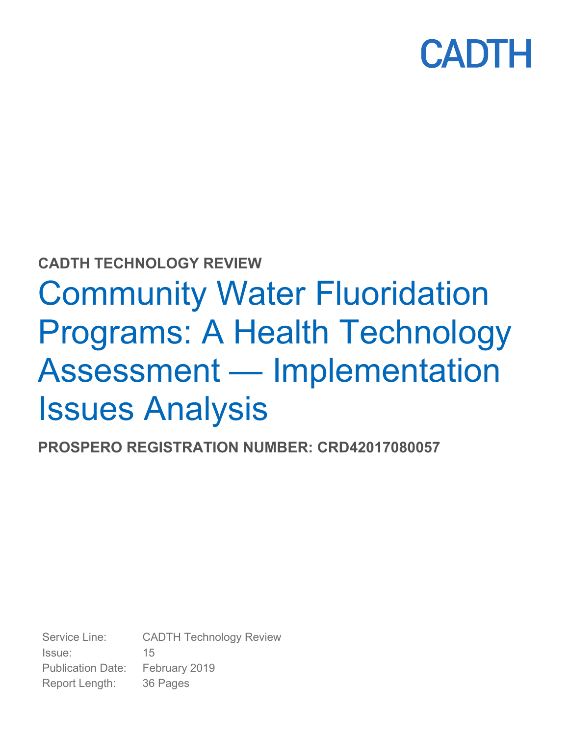

### **CADTH TECHNOLOGY REVIEW**

# Community Water Fluoridation Programs: A Health Technology Assessment — Implementation Issues Analysis

**PROSPERO REGISTRATION NUMBER: CRD42017080057** 

Service Line: CADTH Technology Review Issue: 15 Publication Date: February 2019 Report Length: 36 Pages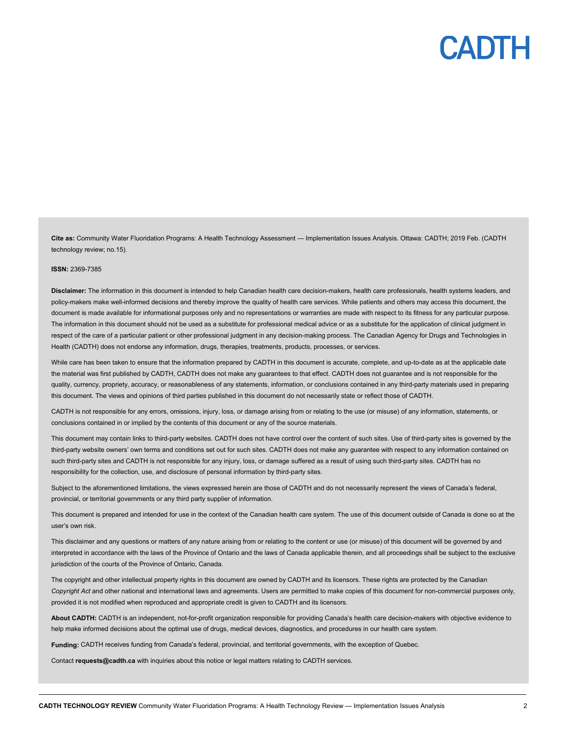**Cite as:** Community Water Fluoridation Programs: A Health Technology Assessment — Implementation Issues Analysis. Ottawa: CADTH; 2019 Feb. (CADTH technology review; no.15).

#### **ISSN:** 2369-7385

**Disclaimer:** The information in this document is intended to help Canadian health care decision-makers, health care professionals, health systems leaders, and policy-makers make well-informed decisions and thereby improve the quality of health care services. While patients and others may access this document, the document is made available for informational purposes only and no representations or warranties are made with respect to its fitness for any particular purpose. The information in this document should not be used as a substitute for professional medical advice or as a substitute for the application of clinical judgment in respect of the care of a particular patient or other professional judgment in any decision-making process. The Canadian Agency for Drugs and Technologies in Health (CADTH) does not endorse any information, drugs, therapies, treatments, products, processes, or services.

While care has been taken to ensure that the information prepared by CADTH in this document is accurate, complete, and up-to-date as at the applicable date the material was first published by CADTH, CADTH does not make any guarantees to that effect. CADTH does not guarantee and is not responsible for the quality, currency, propriety, accuracy, or reasonableness of any statements, information, or conclusions contained in any third-party materials used in preparing this document. The views and opinions of third parties published in this document do not necessarily state or reflect those of CADTH.

CADTH is not responsible for any errors, omissions, injury, loss, or damage arising from or relating to the use (or misuse) of any information, statements, or conclusions contained in or implied by the contents of this document or any of the source materials.

This document may contain links to third-party websites. CADTH does not have control over the content of such sites. Use of third-party sites is governed by the third-party website owners' own terms and conditions set out for such sites. CADTH does not make any guarantee with respect to any information contained on such third-party sites and CADTH is not responsible for any injury, loss, or damage suffered as a result of using such third-party sites. CADTH has no responsibility for the collection, use, and disclosure of personal information by third-party sites.

Subject to the aforementioned limitations, the views expressed herein are those of CADTH and do not necessarily represent the views of Canada's federal, provincial, or territorial governments or any third party supplier of information.

This document is prepared and intended for use in the context of the Canadian health care system. The use of this document outside of Canada is done so at the user's own risk.

This disclaimer and any questions or matters of any nature arising from or relating to the content or use (or misuse) of this document will be governed by and interpreted in accordance with the laws of the Province of Ontario and the laws of Canada applicable therein, and all proceedings shall be subject to the exclusive jurisdiction of the courts of the Province of Ontario, Canada.

The copyright and other intellectual property rights in this document are owned by CADTH and its licensors. These rights are protected by the Canadian *Copyright Act* and other national and international laws and agreements. Users are permitted to make copies of this document for non-commercial purposes only, provided it is not modified when reproduced and appropriate credit is given to CADTH and its licensors.

**About CADTH:** CADTH is an independent, not-for-profit organization responsible for providing Canada's health care decision-makers with objective evidence to help make informed decisions about the optimal use of drugs, medical devices, diagnostics, and procedures in our health care system.

**Funding:** CADTH receives funding from Canada's federal, provincial, and territorial governments, with the exception of Quebec.

Contact **requests@cadth.ca** with inquiries about this notice or legal matters relating to CADTH services.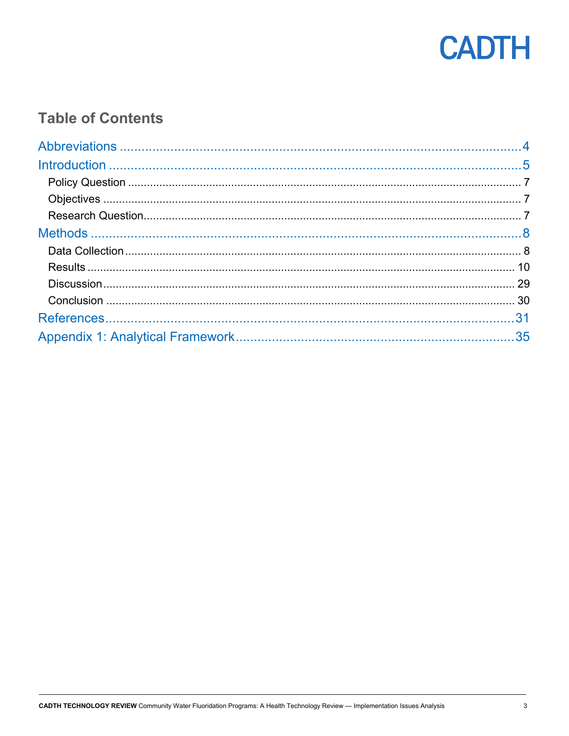

### **Table of Contents**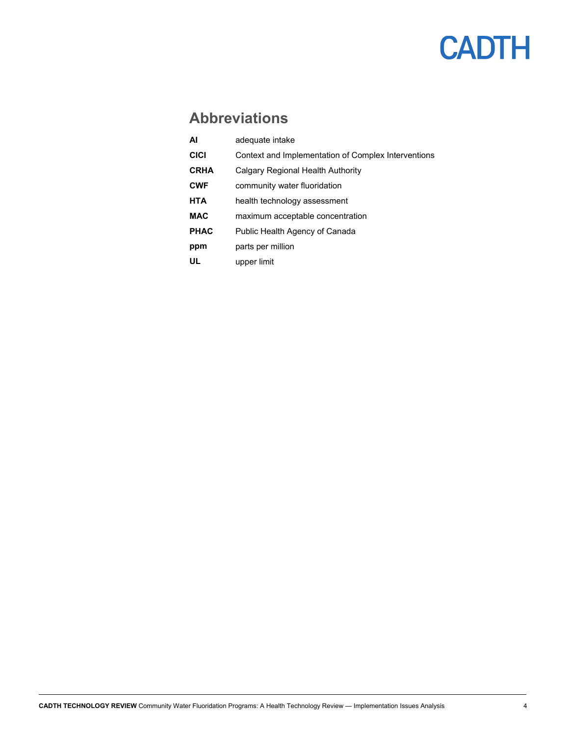### **Abbreviations**

| AI          | adequate intake                                     |
|-------------|-----------------------------------------------------|
| <b>CICI</b> | Context and Implementation of Complex Interventions |
| <b>CRHA</b> | Calgary Regional Health Authority                   |
| <b>CWF</b>  | community water fluoridation                        |
| <b>HTA</b>  | health technology assessment                        |
| <b>MAC</b>  | maximum acceptable concentration                    |
| <b>PHAC</b> | Public Health Agency of Canada                      |
| ppm         | parts per million                                   |
| UL          | upper limit                                         |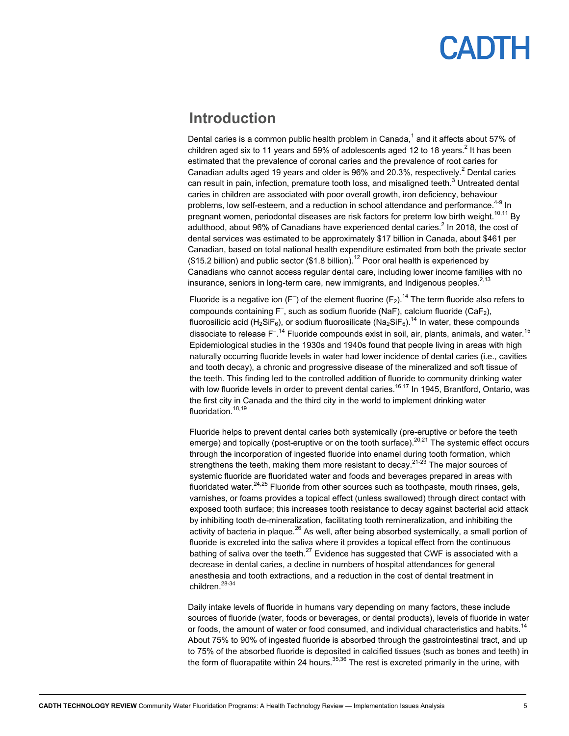### **Introduction**

Dental caries is a common public health problem in Canada, $^{\rm 1}$  and it affects about 57% of children aged six to 11 years and 59% of adolescents aged 12 to 18 years. $^2$  It has been estimated that the prevalence of coronal caries and the prevalence of root caries for Canadian adults aged 19 years and older is 96% and 20.3%, respectively.<sup>2</sup> Dental caries can result in pain, infection, premature tooth loss, and misaligned teeth. $^3$  Untreated dental caries in children are associated with poor overall growth, iron deficiency, behaviour problems, low self-esteem, and a reduction in school attendance and performance.<sup>4-9</sup> In pregnant women, periodontal diseases are risk factors for preterm low birth weight.<sup>10,11</sup> By adulthood, about 96% of Canadians have experienced dental caries. $^2$  In 2018, the cost of dental services was estimated to be approximately \$17 billion in Canada, about \$461 per Canadian, based on total national health expenditure estimated from both the private sector (\$15.2 billion) and public sector (\$1.8 billion).<sup>12</sup> Poor oral health is experienced by Canadians who cannot access regular dental care, including lower income families with no insurance, seniors in long-term care, new immigrants, and Indigenous peoples. $2,13$ 

Fluoride is a negative ion (F ̄) of the element fluorine (F $_2$ ).<sup>14</sup> The term fluoride also refers to compounds containing F<sup>-</sup>, such as sodium fluoride (NaF), calcium fluoride (CaF<sub>2</sub>), fluorosilicic acid (H<sub>2</sub>SiF<sub>6</sub>), or sodium fluorosilicate (Na<sub>2</sub>SiF<sub>6</sub>).<sup>14</sup> In water, these compounds dissociate to release F<sup>- 14</sup> Fluoride compounds exist in soil, air, plants, animals, and water.<sup>15</sup> Epidemiological studies in the 1930s and 1940s found that people living in areas with high naturally occurring fluoride levels in water had lower incidence of dental caries (i.e., cavities and tooth decay), a chronic and progressive disease of the mineralized and soft tissue of the teeth. This finding led to the controlled addition of fluoride to community drinking water with low fluoride levels in order to prevent dental caries.<sup>16,17</sup> In 1945, Brantford, Ontario, was the first city in Canada and the third city in the world to implement drinking water fluoridation.<sup>18,19</sup>

Fluoride helps to prevent dental caries both systemically (pre-eruptive or before the teeth emerge) and topically (post-eruptive or on the tooth surface).<sup>20,21</sup> The systemic effect occurs through the incorporation of ingested fluoride into enamel during tooth formation, which strengthens the teeth, making them more resistant to decay.<sup>21-23</sup> The major sources of systemic fluoride are fluoridated water and foods and beverages prepared in areas with fluoridated water.<sup>24,25</sup> Fluoride from other sources such as toothpaste, mouth rinses, gels, varnishes, or foams provides a topical effect (unless swallowed) through direct contact with exposed tooth surface; this increases tooth resistance to decay against bacterial acid attack by inhibiting tooth de-mineralization, facilitating tooth remineralization, and inhibiting the activity of bacteria in plaque.<sup>26</sup> As well, after being absorbed systemically, a small portion of fluoride is excreted into the saliva where it provides a topical effect from the continuous bathing of saliva over the teeth.<sup>27</sup> Evidence has suggested that CWF is associated with a decrease in dental caries, a decline in numbers of hospital attendances for general anesthesia and tooth extractions, and a reduction in the cost of dental treatment in children.<sup>28-34</sup>

Daily intake levels of fluoride in humans vary depending on many factors, these include sources of fluoride (water, foods or beverages, or dental products), levels of fluoride in water or foods, the amount of water or food consumed, and individual characteristics and habits.<sup>14</sup> About 75% to 90% of ingested fluoride is absorbed through the gastrointestinal tract, and up to 75% of the absorbed fluoride is deposited in calcified tissues (such as bones and teeth) in the form of fluorapatite within 24 hours.  $35,36$  The rest is excreted primarily in the urine, with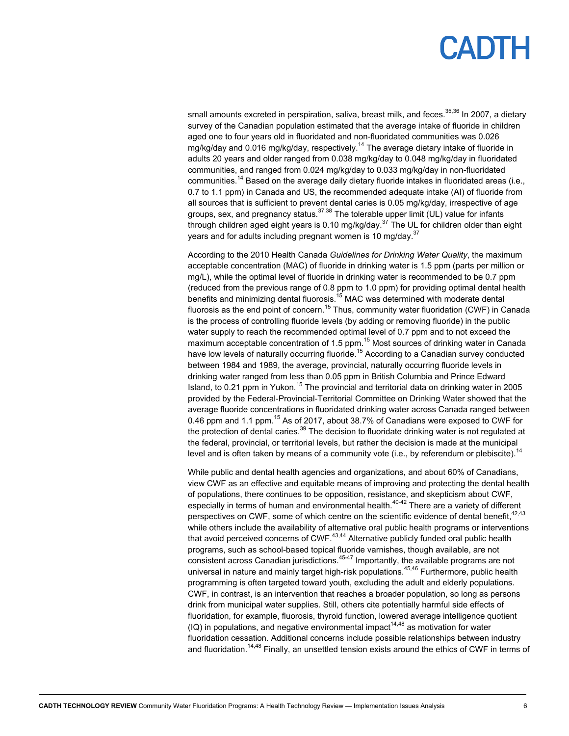# PADIH

small amounts excreted in perspiration, saliva, breast milk, and feces.<sup>35,36</sup> In 2007, a dietary survey of the Canadian population estimated that the average intake of fluoride in children aged one to four years old in fluoridated and non-fluoridated communities was 0.026 mg/kg/day and 0.016 mg/kg/day, respectively.<sup>14</sup> The average dietary intake of fluoride in adults 20 years and older ranged from 0.038 mg/kg/day to 0.048 mg/kg/day in fluoridated communities, and ranged from 0.024 mg/kg/day to 0.033 mg/kg/day in non-fluoridated communities.<sup>14</sup> Based on the average daily dietary fluoride intakes in fluoridated areas (i.e., 0.7 to 1.1 ppm) in Canada and US, the recommended adequate intake (AI) of fluoride from all sources that is sufficient to prevent dental caries is 0.05 mg/kg/day, irrespective of age groups, sex, and pregnancy status.37,38 The tolerable upper limit (UL) value for infants through children aged eight years is 0.10 mg/kg/day.<sup>37</sup> The UL for children older than eight years and for adults including pregnant women is 10 mg/day.<sup>37</sup>

According to the 2010 Health Canada *Guidelines for Drinking Water Quality*, the maximum acceptable concentration (MAC) of fluoride in drinking water is 1.5 ppm (parts per million or mg/L), while the optimal level of fluoride in drinking water is recommended to be 0.7 ppm (reduced from the previous range of 0.8 ppm to 1.0 ppm) for providing optimal dental health benefits and minimizing dental fluorosis.<sup>15</sup> MAC was determined with moderate dental fluorosis as the end point of concern.<sup>15</sup> Thus, community water fluoridation (CWF) in Canada is the process of controlling fluoride levels (by adding or removing fluoride) in the public water supply to reach the recommended optimal level of 0.7 ppm and to not exceed the maximum acceptable concentration of 1.5 ppm. $^{15}$  Most sources of drinking water in Canada have low levels of naturally occurring fluoride.<sup>15</sup> According to a Canadian survey conducted between 1984 and 1989, the average, provincial, naturally occurring fluoride levels in drinking water ranged from less than 0.05 ppm in British Columbia and Prince Edward Island, to 0.21 ppm in Yukon.<sup>15</sup> The provincial and territorial data on drinking water in 2005 provided by the Federal-Provincial-Territorial Committee on Drinking Water showed that the average fluoride concentrations in fluoridated drinking water across Canada ranged between 0.46 ppm and 1.1 ppm.<sup>15</sup> As of 2017, about 38.7% of Canadians were exposed to CWF for the protection of dental caries.<sup>39</sup> The decision to fluoridate drinking water is not regulated at the federal, provincial, or territorial levels, but rather the decision is made at the municipal level and is often taken by means of a community vote (i.e., by referendum or plebiscite).<sup>14</sup>

While public and dental health agencies and organizations, and about 60% of Canadians, view CWF as an effective and equitable means of improving and protecting the dental health of populations, there continues to be opposition, resistance, and skepticism about CWF, especially in terms of human and environmental health.<sup>40-42</sup> There are a variety of different perspectives on CWF, some of which centre on the scientific evidence of dental benefit.<sup>42,43</sup> while others include the availability of alternative oral public health programs or interventions that avoid perceived concerns of  $CWF$ .<sup>43,44</sup> Alternative publicly funded oral public health programs, such as school-based topical fluoride varnishes, though available, are not consistent across Canadian jurisdictions. $45-47$  Importantly, the available programs are not universal in nature and mainly target high-risk populations.<sup>45,46</sup> Furthermore, public health programming is often targeted toward youth, excluding the adult and elderly populations. CWF, in contrast, is an intervention that reaches a broader population, so long as persons drink from municipal water supplies. Still, others cite potentially harmful side effects of fluoridation, for example, fluorosis, thyroid function, lowered average intelligence quotient  $(IQ)$  in populations, and negative environmental impact<sup>14,48</sup> as motivation for water fluoridation cessation. Additional concerns include possible relationships between industry and fluoridation.<sup>14,48</sup> Finally, an unsettled tension exists around the ethics of CWF in terms of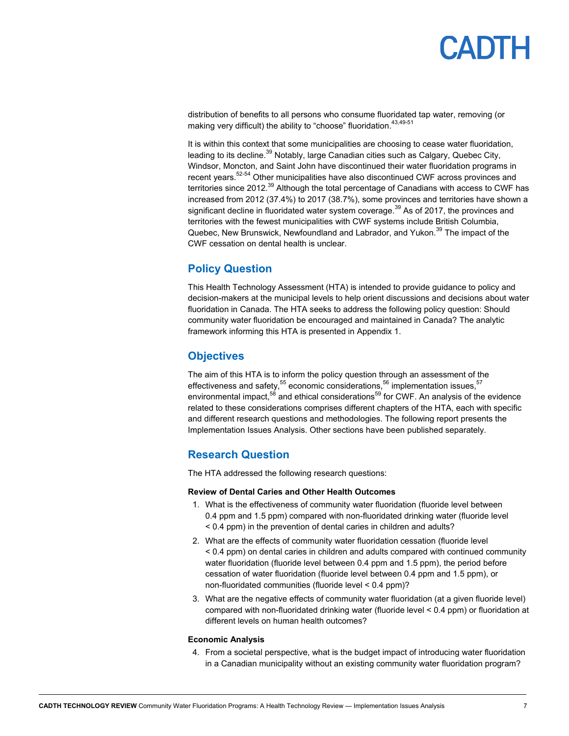distribution of benefits to all persons who consume fluoridated tap water, removing (or making very difficult) the ability to "choose" fluoridation.  $43,49-51$ 

It is within this context that some municipalities are choosing to cease water fluoridation, leading to its decline.<sup>39</sup> Notably, large Canadian cities such as Calgary, Quebec City, Windsor, Moncton, and Saint John have discontinued their water fluoridation programs in recent years.<sup>52-54</sup> Other municipalities have also discontinued CWF across provinces and territories since 2012.<sup>39</sup> Although the total percentage of Canadians with access to CWF has increased from 2012 (37.4%) to 2017 (38.7%), some provinces and territories have shown a significant decline in fluoridated water system coverage.<sup>39</sup> As of 2017, the provinces and territories with the fewest municipalities with CWF systems include British Columbia, Quebec, New Brunswick, Newfoundland and Labrador, and Yukon.<sup>39</sup> The impact of the CWF cessation on dental health is unclear.

### **Policy Question**

This Health Technology Assessment (HTA) is intended to provide guidance to policy and decision-makers at the municipal levels to help orient discussions and decisions about water fluoridation in Canada. The HTA seeks to address the following policy question: Should community water fluoridation be encouraged and maintained in Canada? The analytic framework informing this HTA is presented in Appendix 1.

### **Objectives**

The aim of this HTA is to inform the policy question through an assessment of the effectiveness and safety,  $55$  economic considerations,  $56$  implementation issues,  $57$ environmental impact,<sup>58</sup> and ethical considerations<sup>59</sup> for CWF. An analysis of the evidence related to these considerations comprises different chapters of the HTA, each with specific and different research questions and methodologies. The following report presents the Implementation Issues Analysis. Other sections have been published separately.

### **Research Question**

The HTA addressed the following research questions:

#### **Review of Dental Caries and Other Health Outcomes**

- 1. What is the effectiveness of community water fluoridation (fluoride level between 0.4 ppm and 1.5 ppm) compared with non-fluoridated drinking water (fluoride level < 0.4 ppm) in the prevention of dental caries in children and adults?
- 2. What are the effects of community water fluoridation cessation (fluoride level < 0.4 ppm) on dental caries in children and adults compared with continued community water fluoridation (fluoride level between 0.4 ppm and 1.5 ppm), the period before cessation of water fluoridation (fluoride level between 0.4 ppm and 1.5 ppm), or non-fluoridated communities (fluoride level < 0.4 ppm)?
- 3. What are the negative effects of community water fluoridation (at a given fluoride level) compared with non-fluoridated drinking water (fluoride level < 0.4 ppm) or fluoridation at different levels on human health outcomes?

#### **Economic Analysis**

4. From a societal perspective, what is the budget impact of introducing water fluoridation in a Canadian municipality without an existing community water fluoridation program?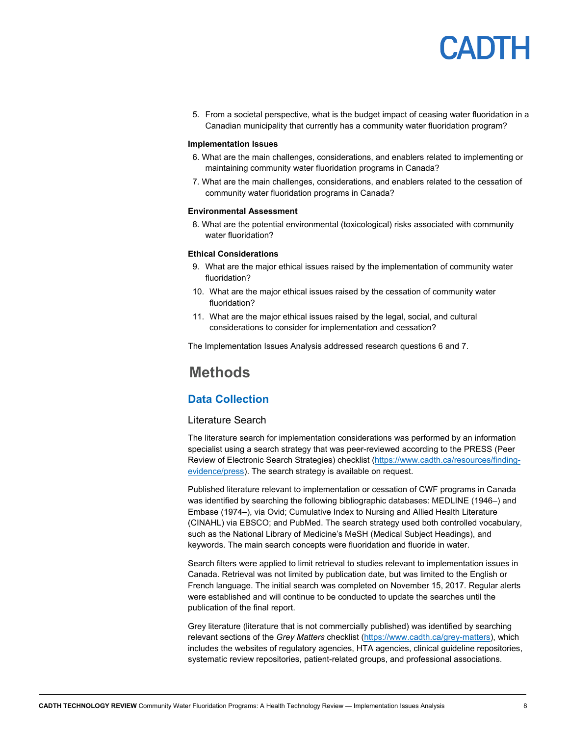5. From a societal perspective, what is the budget impact of ceasing water fluoridation in a Canadian municipality that currently has a community water fluoridation program?

#### **Implementation Issues**

- 6. What are the main challenges, considerations, and enablers related to implementing or maintaining community water fluoridation programs in Canada?
- 7. What are the main challenges, considerations, and enablers related to the cessation of community water fluoridation programs in Canada?

#### **Environmental Assessment**

8. What are the potential environmental (toxicological) risks associated with community water fluoridation?

#### **Ethical Considerations**

- 9. What are the major ethical issues raised by the implementation of community water fluoridation?
- 10. What are the major ethical issues raised by the cessation of community water fluoridation?
- 11. What are the major ethical issues raised by the legal, social, and cultural considerations to consider for implementation and cessation?

The Implementation Issues Analysis addressed research questions 6 and 7.

### **Methods**

### **Data Collection**

#### Literature Search

The literature search for implementation considerations was performed by an information specialist using a search strategy that was peer-reviewed according to the PRESS (Peer Review of Electronic Search Strategies) checklist (https://www.cadth.ca/resources/findingevidence/press). The search strategy is available on request.

Published literature relevant to implementation or cessation of CWF programs in Canada was identified by searching the following bibliographic databases: MEDLINE (1946–) and Embase (1974–), via Ovid; Cumulative Index to Nursing and Allied Health Literature (CINAHL) via EBSCO; and PubMed. The search strategy used both controlled vocabulary, such as the National Library of Medicine's MeSH (Medical Subject Headings), and keywords. The main search concepts were fluoridation and fluoride in water.

Search filters were applied to limit retrieval to studies relevant to implementation issues in Canada. Retrieval was not limited by publication date, but was limited to the English or French language. The initial search was completed on November 15, 2017. Regular alerts were established and will continue to be conducted to update the searches until the publication of the final report.

Grey literature (literature that is not commercially published) was identified by searching relevant sections of the *Grey Matters* checklist (https://www.cadth.ca/grey-matters), which includes the websites of regulatory agencies, HTA agencies, clinical guideline repositories, systematic review repositories, patient-related groups, and professional associations.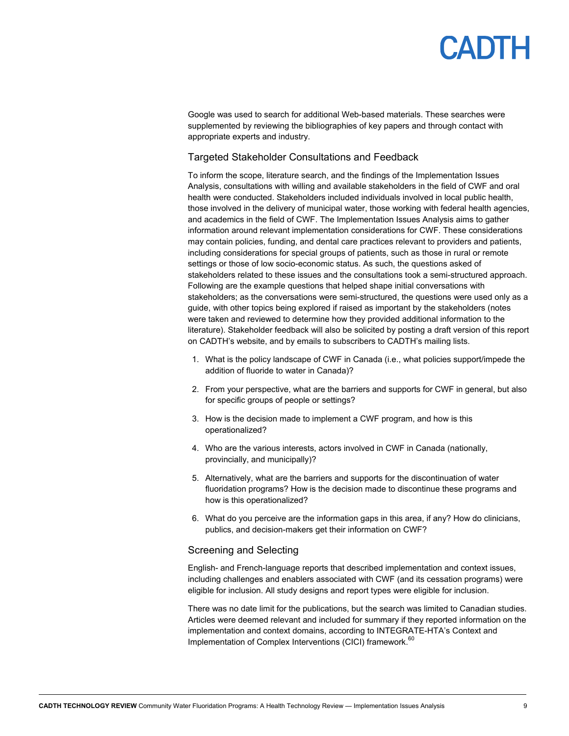Google was used to search for additional Web-based materials. These searches were supplemented by reviewing the bibliographies of key papers and through contact with appropriate experts and industry.

### Targeted Stakeholder Consultations and Feedback

To inform the scope, literature search, and the findings of the Implementation Issues Analysis, consultations with willing and available stakeholders in the field of CWF and oral health were conducted. Stakeholders included individuals involved in local public health, those involved in the delivery of municipal water, those working with federal health agencies, and academics in the field of CWF. The Implementation Issues Analysis aims to gather information around relevant implementation considerations for CWF. These considerations may contain policies, funding, and dental care practices relevant to providers and patients, including considerations for special groups of patients, such as those in rural or remote settings or those of low socio-economic status. As such, the questions asked of stakeholders related to these issues and the consultations took a semi-structured approach. Following are the example questions that helped shape initial conversations with stakeholders; as the conversations were semi-structured, the questions were used only as a guide, with other topics being explored if raised as important by the stakeholders (notes were taken and reviewed to determine how they provided additional information to the literature). Stakeholder feedback will also be solicited by posting a draft version of this report on CADTH's website, and by emails to subscribers to CADTH's mailing lists.

- 1. What is the policy landscape of CWF in Canada (i.e., what policies support/impede the addition of fluoride to water in Canada)?
- 2. From your perspective, what are the barriers and supports for CWF in general, but also for specific groups of people or settings?
- 3. How is the decision made to implement a CWF program, and how is this operationalized?
- 4. Who are the various interests, actors involved in CWF in Canada (nationally, provincially, and municipally)?
- 5. Alternatively, what are the barriers and supports for the discontinuation of water fluoridation programs? How is the decision made to discontinue these programs and how is this operationalized?
- 6. What do you perceive are the information gaps in this area, if any? How do clinicians, publics, and decision-makers get their information on CWF?

#### Screening and Selecting

English- and French-language reports that described implementation and context issues, including challenges and enablers associated with CWF (and its cessation programs) were eligible for inclusion. All study designs and report types were eligible for inclusion.

There was no date limit for the publications, but the search was limited to Canadian studies. Articles were deemed relevant and included for summary if they reported information on the implementation and context domains, according to INTEGRATE-HTA's Context and Implementation of Complex Interventions (CICI) framework.<sup>60</sup>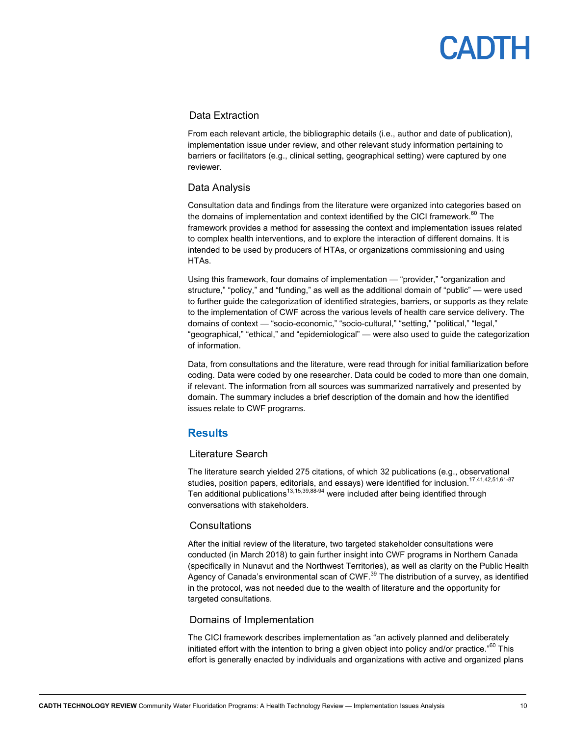### Data Extraction

From each relevant article, the bibliographic details (i.e., author and date of publication), implementation issue under review, and other relevant study information pertaining to barriers or facilitators (e.g., clinical setting, geographical setting) were captured by one reviewer.

### Data Analysis

Consultation data and findings from the literature were organized into categories based on the domains of implementation and context identified by the CICI framework. $60$  The framework provides a method for assessing the context and implementation issues related to complex health interventions, and to explore the interaction of different domains. It is intended to be used by producers of HTAs, or organizations commissioning and using HTAs.

Using this framework, four domains of implementation — "provider," "organization and structure," "policy," and "funding," as well as the additional domain of "public" — were used to further guide the categorization of identified strategies, barriers, or supports as they relate to the implementation of CWF across the various levels of health care service delivery. The domains of context — "socio-economic," "socio-cultural," "setting," "political," "legal," "geographical," "ethical," and "epidemiological" — were also used to guide the categorization of information.

Data, from consultations and the literature, were read through for initial familiarization before coding. Data were coded by one researcher. Data could be coded to more than one domain, if relevant. The information from all sources was summarized narratively and presented by domain. The summary includes a brief description of the domain and how the identified issues relate to CWF programs.

### **Results**

### Literature Search

The literature search yielded 275 citations, of which 32 publications (e.g., observational studies, position papers, editorials, and essays) were identified for inclusion.<sup>17,41,42,51,61-87</sup> Ten additional publications<sup>13,15,39,88-94</sup> were included after being identified through conversations with stakeholders.

### **Consultations**

After the initial review of the literature, two targeted stakeholder consultations were conducted (in March 2018) to gain further insight into CWF programs in Northern Canada (specifically in Nunavut and the Northwest Territories), as well as clarity on the Public Health Agency of Canada's environmental scan of CWF. $^{39}$  The distribution of a survey, as identified in the protocol, was not needed due to the wealth of literature and the opportunity for targeted consultations.

### Domains of Implementation

The CICI framework describes implementation as "an actively planned and deliberately initiated effort with the intention to bring a given object into policy and/or practice."<sup>60</sup> This effort is generally enacted by individuals and organizations with active and organized plans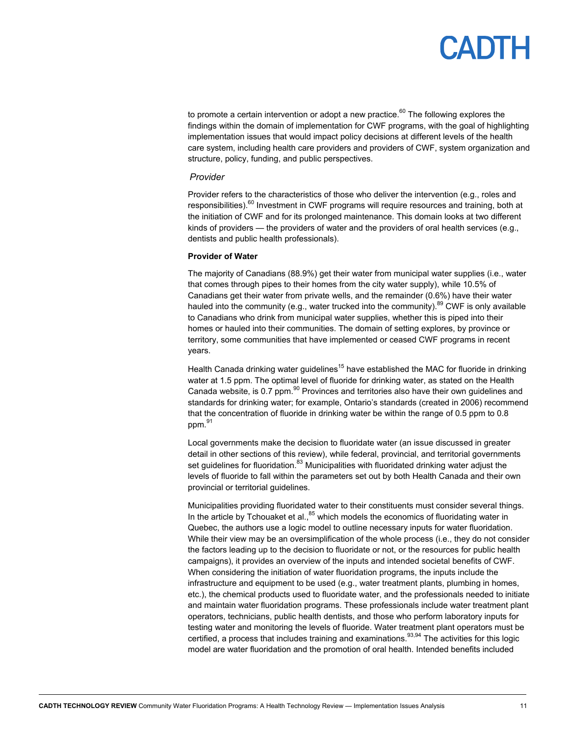to promote a certain intervention or adopt a new practice.<sup>60</sup> The following explores the findings within the domain of implementation for CWF programs, with the goal of highlighting implementation issues that would impact policy decisions at different levels of the health care system, including health care providers and providers of CWF, system organization and structure, policy, funding, and public perspectives.

#### *Provider*

Provider refers to the characteristics of those who deliver the intervention (e.g., roles and responsibilities). $60$  Investment in CWF programs will require resources and training, both at the initiation of CWF and for its prolonged maintenance. This domain looks at two different kinds of providers — the providers of water and the providers of oral health services (e.g., dentists and public health professionals).

#### **Provider of Water**

The majority of Canadians (88.9%) get their water from municipal water supplies (i.e., water that comes through pipes to their homes from the city water supply), while 10.5% of Canadians get their water from private wells, and the remainder (0.6%) have their water hauled into the community (e.g., water trucked into the community).<sup>89</sup> CWF is only available to Canadians who drink from municipal water supplies, whether this is piped into their homes or hauled into their communities. The domain of setting explores, by province or territory, some communities that have implemented or ceased CWF programs in recent years.

Health Canada drinking water guidelines<sup>15</sup> have established the MAC for fluoride in drinking water at 1.5 ppm. The optimal level of fluoride for drinking water, as stated on the Health Canada website, is 0.7 ppm. $90$  Provinces and territories also have their own guidelines and standards for drinking water; for example, Ontario's standards (created in 2006) recommend that the concentration of fluoride in drinking water be within the range of 0.5 ppm to 0.8 ppm.<sup>91</sup>

Local governments make the decision to fluoridate water (an issue discussed in greater detail in other sections of this review), while federal, provincial, and territorial governments set guidelines for fluoridation.<sup>83</sup> Municipalities with fluoridated drinking water adjust the levels of fluoride to fall within the parameters set out by both Health Canada and their own provincial or territorial guidelines.

Municipalities providing fluoridated water to their constituents must consider several things. In the article by Tchouaket et al., $85$  which models the economics of fluoridating water in Quebec, the authors use a logic model to outline necessary inputs for water fluoridation. While their view may be an oversimplification of the whole process (i.e., they do not consider the factors leading up to the decision to fluoridate or not, or the resources for public health campaigns), it provides an overview of the inputs and intended societal benefits of CWF. When considering the initiation of water fluoridation programs, the inputs include the infrastructure and equipment to be used (e.g., water treatment plants, plumbing in homes, etc.), the chemical products used to fluoridate water, and the professionals needed to initiate and maintain water fluoridation programs. These professionals include water treatment plant operators, technicians, public health dentists, and those who perform laboratory inputs for testing water and monitoring the levels of fluoride. Water treatment plant operators must be certified, a process that includes training and examinations.<sup>93,94</sup> The activities for this logic model are water fluoridation and the promotion of oral health. Intended benefits included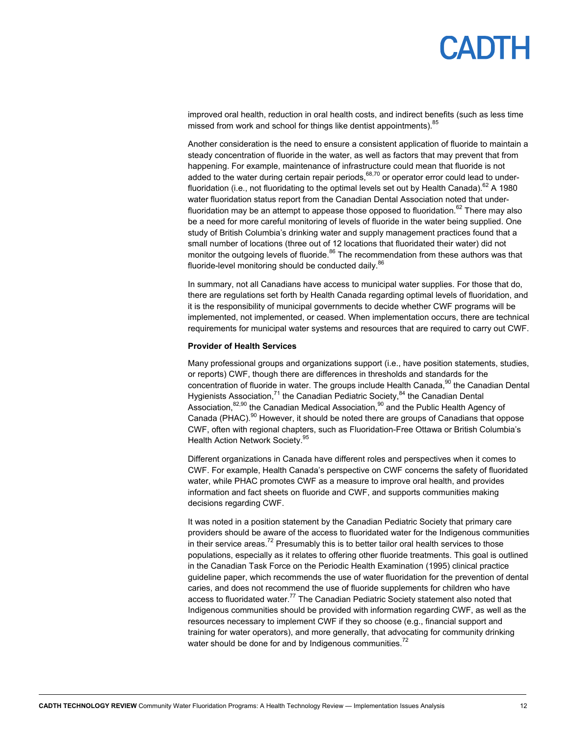# PADIH

improved oral health, reduction in oral health costs, and indirect benefits (such as less time missed from work and school for things like dentist appointments).<sup>85</sup>

Another consideration is the need to ensure a consistent application of fluoride to maintain a steady concentration of fluoride in the water, as well as factors that may prevent that from happening. For example, maintenance of infrastructure could mean that fluoride is not added to the water during certain repair periods, $68,70$  or operator error could lead to underfluoridation (i.e., not fluoridating to the optimal levels set out by Health Canada).<sup>62</sup> A 1980 water fluoridation status report from the Canadian Dental Association noted that underfluoridation may be an attempt to appease those opposed to fluoridation.<sup>62</sup> There may also be a need for more careful monitoring of levels of fluoride in the water being supplied. One study of British Columbia's drinking water and supply management practices found that a small number of locations (three out of 12 locations that fluoridated their water) did not monitor the outgoing levels of fluoride.<sup>86</sup> The recommendation from these authors was that fluoride-level monitoring should be conducted daily.<sup>86</sup>

In summary, not all Canadians have access to municipal water supplies. For those that do, there are regulations set forth by Health Canada regarding optimal levels of fluoridation, and it is the responsibility of municipal governments to decide whether CWF programs will be implemented, not implemented, or ceased. When implementation occurs, there are technical requirements for municipal water systems and resources that are required to carry out CWF.

#### **Provider of Health Services**

Many professional groups and organizations support (i.e., have position statements, studies, or reports) CWF, though there are differences in thresholds and standards for the concentration of fluoride in water. The groups include Health Canada,<sup>90</sup> the Canadian Dental Hygienists Association, $71$  the Canadian Pediatric Society, $84$  the Canadian Dental Association,<sup>82,90</sup> the Canadian Medical Association,<sup>90</sup> and the Public Health Agency of Canada (PHAC). $90$  However, it should be noted there are groups of Canadians that oppose CWF, often with regional chapters, such as Fluoridation-Free Ottawa or British Columbia's Health Action Network Society.<sup>95</sup>

Different organizations in Canada have different roles and perspectives when it comes to CWF. For example, Health Canada's perspective on CWF concerns the safety of fluoridated water, while PHAC promotes CWF as a measure to improve oral health, and provides information and fact sheets on fluoride and CWF, and supports communities making decisions regarding CWF.

It was noted in a position statement by the Canadian Pediatric Society that primary care providers should be aware of the access to fluoridated water for the Indigenous communities in their service areas.<sup>72</sup> Presumably this is to better tailor oral health services to those populations, especially as it relates to offering other fluoride treatments. This goal is outlined in the Canadian Task Force on the Periodic Health Examination (1995) clinical practice guideline paper, which recommends the use of water fluoridation for the prevention of dental caries, and does not recommend the use of fluoride supplements for children who have access to fluoridated water.<sup>77</sup> The Canadian Pediatric Society statement also noted that Indigenous communities should be provided with information regarding CWF, as well as the resources necessary to implement CWF if they so choose (e.g., financial support and training for water operators), and more generally, that advocating for community drinking water should be done for and by Indigenous communities.<sup>72</sup>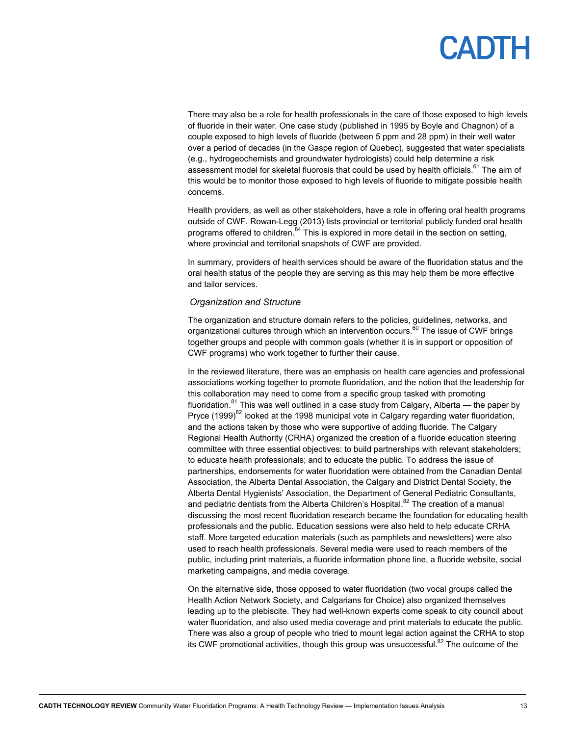There may also be a role for health professionals in the care of those exposed to high levels of fluoride in their water. One case study (published in 1995 by Boyle and Chagnon) of a couple exposed to high levels of fluoride (between 5 ppm and 28 ppm) in their well water over a period of decades (in the Gaspe region of Quebec), suggested that water specialists (e.g., hydrogeochemists and groundwater hydrologists) could help determine a risk assessment model for skeletal fluorosis that could be used by health officials. $61$  The aim of this would be to monitor those exposed to high levels of fluoride to mitigate possible health concerns.

Health providers, as well as other stakeholders, have a role in offering oral health programs outside of CWF. Rowan-Legg (2013) lists provincial or territorial publicly funded oral health programs offered to children. $84$  This is explored in more detail in the section on setting, where provincial and territorial snapshots of CWF are provided.

In summary, providers of health services should be aware of the fluoridation status and the oral health status of the people they are serving as this may help them be more effective and tailor services.

#### *Organization and Structure*

The organization and structure domain refers to the policies, guidelines, networks, and organizational cultures through which an intervention occurs. $60$  The issue of CWF brings together groups and people with common goals (whether it is in support or opposition of CWF programs) who work together to further their cause.

In the reviewed literature, there was an emphasis on health care agencies and professional associations working together to promote fluoridation, and the notion that the leadership for this collaboration may need to come from a specific group tasked with promoting fluoridation.<sup>81</sup> This was well outlined in a case study from Calgary, Alberta — the paper by Pryce (1999)<sup>82</sup> looked at the 1998 municipal vote in Calgary regarding water fluoridation, and the actions taken by those who were supportive of adding fluoride. The Calgary Regional Health Authority (CRHA) organized the creation of a fluoride education steering committee with three essential objectives: to build partnerships with relevant stakeholders; to educate health professionals; and to educate the public. To address the issue of partnerships, endorsements for water fluoridation were obtained from the Canadian Dental Association, the Alberta Dental Association, the Calgary and District Dental Society, the Alberta Dental Hygienists' Association, the Department of General Pediatric Consultants, and pediatric dentists from the Alberta Children's Hospital.<sup>82</sup> The creation of a manual discussing the most recent fluoridation research became the foundation for educating health professionals and the public. Education sessions were also held to help educate CRHA staff. More targeted education materials (such as pamphlets and newsletters) were also used to reach health professionals. Several media were used to reach members of the public, including print materials, a fluoride information phone line, a fluoride website, social marketing campaigns, and media coverage.

On the alternative side, those opposed to water fluoridation (two vocal groups called the Health Action Network Society, and Calgarians for Choice) also organized themselves leading up to the plebiscite. They had well-known experts come speak to city council about water fluoridation, and also used media coverage and print materials to educate the public. There was also a group of people who tried to mount legal action against the CRHA to stop its CWF promotional activities, though this group was unsuccessful.<sup>82</sup> The outcome of the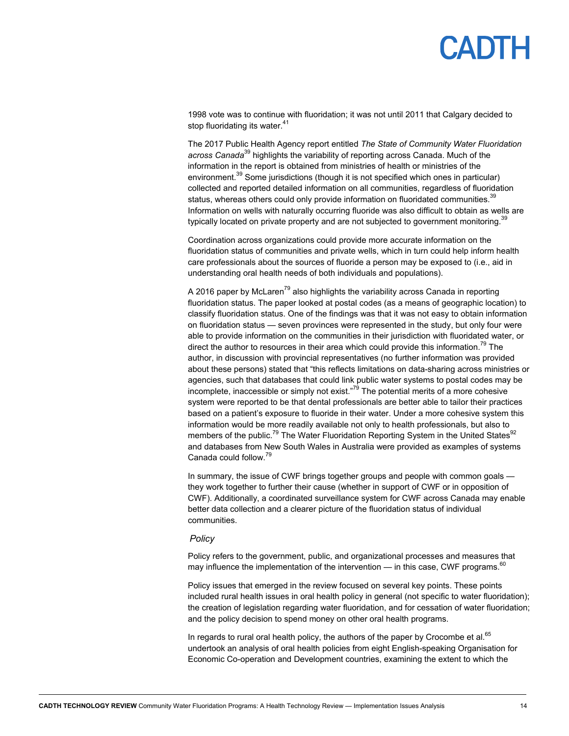1998 vote was to continue with fluoridation; it was not until 2011 that Calgary decided to stop fluoridating its water.<sup>41</sup>

The 2017 Public Health Agency report entitled *The State of Community Water Fluoridation across Canada*39 highlights the variability of reporting across Canada. Much of the information in the report is obtained from ministries of health or ministries of the environment.<sup>39</sup> Some jurisdictions (though it is not specified which ones in particular) collected and reported detailed information on all communities, regardless of fluoridation status, whereas others could only provide information on fluoridated communities. $39$ Information on wells with naturally occurring fluoride was also difficult to obtain as wells are typically located on private property and are not subjected to government monitoring.<sup>39</sup>

Coordination across organizations could provide more accurate information on the fluoridation status of communities and private wells, which in turn could help inform health care professionals about the sources of fluoride a person may be exposed to (i.e., aid in understanding oral health needs of both individuals and populations).

A 2016 paper by McLaren<sup>79</sup> also highlights the variability across Canada in reporting fluoridation status. The paper looked at postal codes (as a means of geographic location) to classify fluoridation status. One of the findings was that it was not easy to obtain information on fluoridation status — seven provinces were represented in the study, but only four were able to provide information on the communities in their jurisdiction with fluoridated water, or direct the author to resources in their area which could provide this information.<sup>79</sup> The author, in discussion with provincial representatives (no further information was provided about these persons) stated that "this reflects limitations on data-sharing across ministries or agencies, such that databases that could link public water systems to postal codes may be incomplete, inaccessible or simply not exist."<sup>79</sup> The potential merits of a more cohesive system were reported to be that dental professionals are better able to tailor their practices based on a patient's exposure to fluoride in their water. Under a more cohesive system this information would be more readily available not only to health professionals, but also to members of the public.<sup>79</sup> The Water Fluoridation Reporting System in the United States<sup>92</sup> and databases from New South Wales in Australia were provided as examples of systems Canada could follow.79

In summary, the issue of CWF brings together groups and people with common goals they work together to further their cause (whether in support of CWF or in opposition of CWF). Additionally, a coordinated surveillance system for CWF across Canada may enable better data collection and a clearer picture of the fluoridation status of individual communities.

#### *Policy*

Policy refers to the government, public, and organizational processes and measures that may influence the implementation of the intervention — in this case, CWF programs.  $60$ 

Policy issues that emerged in the review focused on several key points. These points included rural health issues in oral health policy in general (not specific to water fluoridation); the creation of legislation regarding water fluoridation, and for cessation of water fluoridation; and the policy decision to spend money on other oral health programs.

In regards to rural oral health policy, the authors of the paper by Crocombe et al. $65$ undertook an analysis of oral health policies from eight English-speaking Organisation for Economic Co-operation and Development countries, examining the extent to which the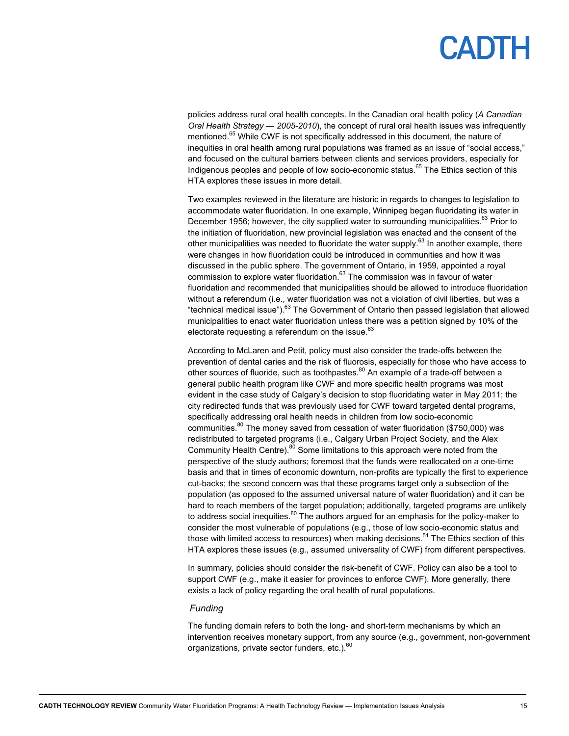policies address rural oral health concepts. In the Canadian oral health policy (*A Canadian Oral Health Strategy — 2005-2010*), the concept of rural oral health issues was infrequently mentioned.<sup>65</sup> While CWF is not specifically addressed in this document, the nature of inequities in oral health among rural populations was framed as an issue of "social access," and focused on the cultural barriers between clients and services providers, especially for Indigenous peoples and people of low socio-economic status.<sup>65</sup> The Ethics section of this HTA explores these issues in more detail.

Two examples reviewed in the literature are historic in regards to changes to legislation to accommodate water fluoridation. In one example, Winnipeg began fluoridating its water in December 1956; however, the city supplied water to surrounding municipalities.<sup>63</sup> Prior to the initiation of fluoridation, new provincial legislation was enacted and the consent of the other municipalities was needed to fluoridate the water supply.<sup>63</sup> In another example, there were changes in how fluoridation could be introduced in communities and how it was discussed in the public sphere. The government of Ontario, in 1959, appointed a royal commission to explore water fluoridation.<sup>63</sup> The commission was in favour of water fluoridation and recommended that municipalities should be allowed to introduce fluoridation without a referendum (i.e., water fluoridation was not a violation of civil liberties, but was a "technical medical issue").<sup>63</sup> The Government of Ontario then passed legislation that allowed municipalities to enact water fluoridation unless there was a petition signed by 10% of the electorate requesting a referendum on the issue. $63$ 

According to McLaren and Petit, policy must also consider the trade-offs between the prevention of dental caries and the risk of fluorosis, especially for those who have access to other sources of fluoride, such as toothpastes.<sup>80</sup> An example of a trade-off between a general public health program like CWF and more specific health programs was most evident in the case study of Calgary's decision to stop fluoridating water in May 2011; the city redirected funds that was previously used for CWF toward targeted dental programs, specifically addressing oral health needs in children from low socio-economic communities. $80$  The money saved from cessation of water fluoridation (\$750,000) was redistributed to targeted programs (i.e., Calgary Urban Project Society, and the Alex Community Health Centre).<sup>80</sup> Some limitations to this approach were noted from the perspective of the study authors; foremost that the funds were reallocated on a one-time basis and that in times of economic downturn, non-profits are typically the first to experience cut-backs; the second concern was that these programs target only a subsection of the population (as opposed to the assumed universal nature of water fluoridation) and it can be hard to reach members of the target population; additionally, targeted programs are unlikely to address social inequities. $80$  The authors argued for an emphasis for the policy-maker to consider the most vulnerable of populations (e.g., those of low socio-economic status and those with limited access to resources) when making decisions.<sup>51</sup> The Ethics section of this HTA explores these issues (e.g., assumed universality of CWF) from different perspectives.

In summary, policies should consider the risk-benefit of CWF. Policy can also be a tool to support CWF (e.g., make it easier for provinces to enforce CWF). More generally, there exists a lack of policy regarding the oral health of rural populations.

#### *Funding*

The funding domain refers to both the long- and short-term mechanisms by which an intervention receives monetary support, from any source (e.g., government, non-government organizations, private sector funders, etc.). $60$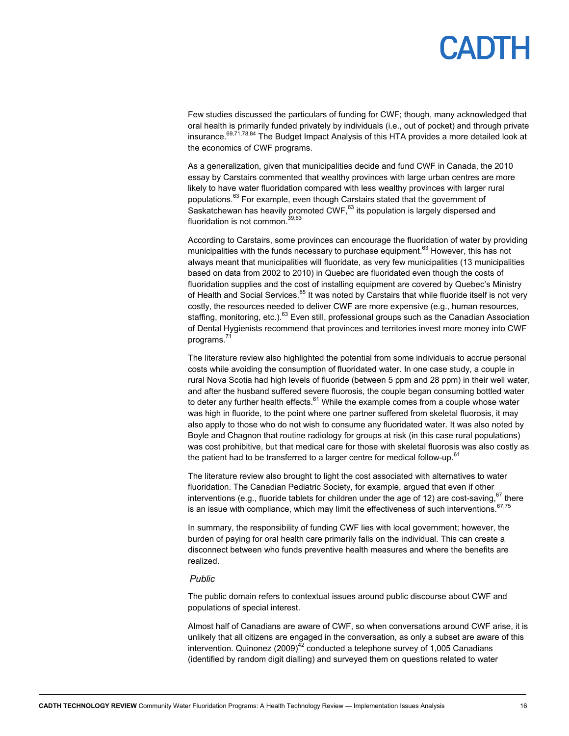Few studies discussed the particulars of funding for CWF; though, many acknowledged that oral health is primarily funded privately by individuals (i.e., out of pocket) and through private insurance.<sup>69,71,78,84</sup> The Budget Impact Analysis of this HTA provides a more detailed look at the economics of CWF programs.

As a generalization, given that municipalities decide and fund CWF in Canada, the 2010 essay by Carstairs commented that wealthy provinces with large urban centres are more likely to have water fluoridation compared with less wealthy provinces with larger rural populations.<sup>63</sup> For example, even though Carstairs stated that the government of Saskatchewan has heavily promoted  $\text{CWF},^{63}$  its population is largely dispersed and fluoridation is not common.<sup>39,63</sup>

According to Carstairs, some provinces can encourage the fluoridation of water by providing municipalities with the funds necessary to purchase equipment.<sup>63</sup> However, this has not always meant that municipalities will fluoridate, as very few municipalities (13 municipalities based on data from 2002 to 2010) in Quebec are fluoridated even though the costs of fluoridation supplies and the cost of installing equipment are covered by Quebec's Ministry of Health and Social Services.<sup>85</sup> It was noted by Carstairs that while fluoride itself is not very costly, the resources needed to deliver CWF are more expensive (e.g., human resources, staffing, monitoring, etc.).<sup>63</sup> Even still, professional groups such as the Canadian Association of Dental Hygienists recommend that provinces and territories invest more money into CWF programs.<sup>7</sup>

The literature review also highlighted the potential from some individuals to accrue personal costs while avoiding the consumption of fluoridated water. In one case study, a couple in rural Nova Scotia had high levels of fluoride (between 5 ppm and 28 ppm) in their well water, and after the husband suffered severe fluorosis, the couple began consuming bottled water to deter any further health effects.<sup>61</sup> While the example comes from a couple whose water was high in fluoride, to the point where one partner suffered from skeletal fluorosis, it may also apply to those who do not wish to consume any fluoridated water. It was also noted by Boyle and Chagnon that routine radiology for groups at risk (in this case rural populations) was cost prohibitive, but that medical care for those with skeletal fluorosis was also costly as the patient had to be transferred to a larger centre for medical follow-up.<sup>61</sup>

The literature review also brought to light the cost associated with alternatives to water fluoridation. The Canadian Pediatric Society, for example, argued that even if other interventions (e.g., fluoride tablets for children under the age of 12) are cost-saving,  $67$  there is an issue with compliance, which may limit the effectiveness of such interventions.  $67,75$ 

In summary, the responsibility of funding CWF lies with local government; however, the burden of paying for oral health care primarily falls on the individual. This can create a disconnect between who funds preventive health measures and where the benefits are realized.

#### *Public*

The public domain refers to contextual issues around public discourse about CWF and populations of special interest.

Almost half of Canadians are aware of CWF, so when conversations around CWF arise, it is unlikely that all citizens are engaged in the conversation, as only a subset are aware of this intervention. Quinonez  $(2009)^{42}$  conducted a telephone survey of 1,005 Canadians (identified by random digit dialling) and surveyed them on questions related to water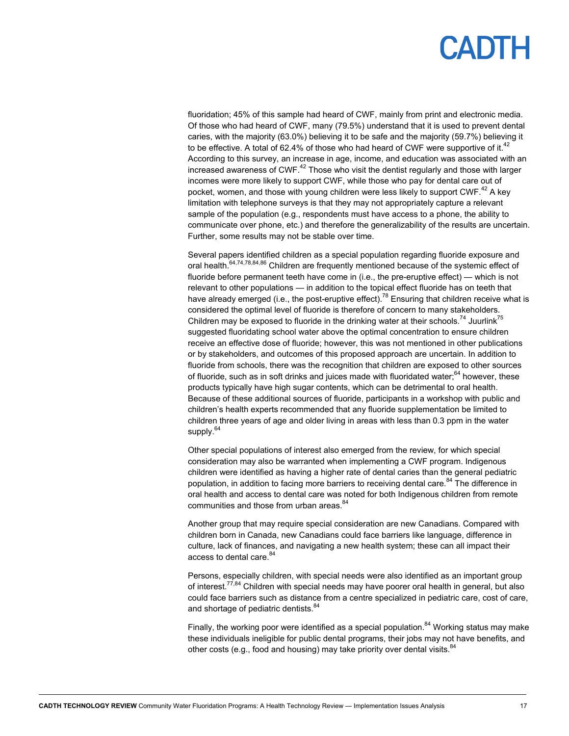fluoridation; 45% of this sample had heard of CWF, mainly from print and electronic media. Of those who had heard of CWF, many (79.5%) understand that it is used to prevent dental caries, with the majority (63.0%) believing it to be safe and the majority (59.7%) believing it to be effective. A total of 62.4% of those who had heard of CWF were supportive of it.<sup>42</sup> According to this survey, an increase in age, income, and education was associated with an increased awareness of CWF.<sup>42</sup> Those who visit the dentist regularly and those with larger incomes were more likely to support CWF, while those who pay for dental care out of pocket, women, and those with young children were less likely to support  $CWF<sup>42</sup>$  A key limitation with telephone surveys is that they may not appropriately capture a relevant sample of the population (e.g., respondents must have access to a phone, the ability to communicate over phone, etc.) and therefore the generalizability of the results are uncertain. Further, some results may not be stable over time.

Several papers identified children as a special population regarding fluoride exposure and oral health.<sup>64,74,78,84,86</sup> Children are frequently mentioned because of the systemic effect of fluoride before permanent teeth have come in (i.e., the pre-eruptive effect) — which is not relevant to other populations — in addition to the topical effect fluoride has on teeth that have already emerged (i.e., the post-eruptive effect).<sup>78</sup> Ensuring that children receive what is considered the optimal level of fluoride is therefore of concern to many stakeholders. Children may be exposed to fluoride in the drinking water at their schools.<sup>74</sup> Juurlink<sup>75</sup> suggested fluoridating school water above the optimal concentration to ensure children receive an effective dose of fluoride; however, this was not mentioned in other publications or by stakeholders, and outcomes of this proposed approach are uncertain. In addition to fluoride from schools, there was the recognition that children are exposed to other sources of fluoride, such as in soft drinks and juices made with fluoridated water; $64$  however, these products typically have high sugar contents, which can be detrimental to oral health. Because of these additional sources of fluoride, participants in a workshop with public and children's health experts recommended that any fluoride supplementation be limited to children three years of age and older living in areas with less than 0.3 ppm in the water supply.<sup>64</sup>

Other special populations of interest also emerged from the review, for which special consideration may also be warranted when implementing a CWF program. Indigenous children were identified as having a higher rate of dental caries than the general pediatric population, in addition to facing more barriers to receiving dental care.<sup>84</sup> The difference in oral health and access to dental care was noted for both Indigenous children from remote communities and those from urban areas.<sup>84</sup>

Another group that may require special consideration are new Canadians. Compared with children born in Canada, new Canadians could face barriers like language, difference in culture, lack of finances, and navigating a new health system; these can all impact their access to dental care.<sup>84</sup>

Persons, especially children, with special needs were also identified as an important group of interest.<sup>77,84</sup> Children with special needs may have poorer oral health in general, but also could face barriers such as distance from a centre specialized in pediatric care, cost of care, and shortage of pediatric dentists.<sup>84</sup>

Finally, the working poor were identified as a special population.<sup>84</sup> Working status may make these individuals ineligible for public dental programs, their jobs may not have benefits, and other costs (e.g., food and housing) may take priority over dental visits. $84$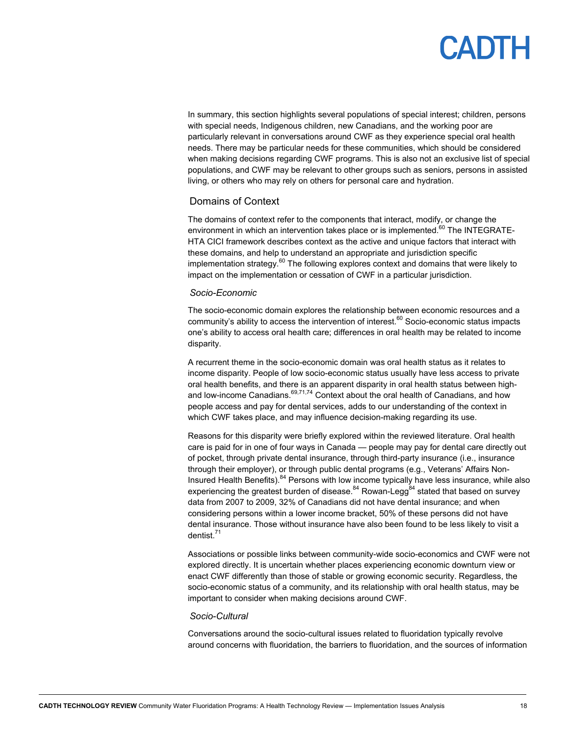In summary, this section highlights several populations of special interest; children, persons with special needs, Indigenous children, new Canadians, and the working poor are particularly relevant in conversations around CWF as they experience special oral health needs. There may be particular needs for these communities, which should be considered when making decisions regarding CWF programs. This is also not an exclusive list of special populations, and CWF may be relevant to other groups such as seniors, persons in assisted living, or others who may rely on others for personal care and hydration.

### Domains of Context

The domains of context refer to the components that interact, modify, or change the environment in which an intervention takes place or is implemented. $60$  The INTEGRATE-HTA CICI framework describes context as the active and unique factors that interact with these domains, and help to understand an appropriate and jurisdiction specific implementation strategy. $60$  The following explores context and domains that were likely to impact on the implementation or cessation of CWF in a particular jurisdiction.

#### *Socio-Economic*

The socio-economic domain explores the relationship between economic resources and a community's ability to access the intervention of interest.<sup>60</sup> Socio-economic status impacts one's ability to access oral health care; differences in oral health may be related to income disparity.

A recurrent theme in the socio-economic domain was oral health status as it relates to income disparity. People of low socio-economic status usually have less access to private oral health benefits, and there is an apparent disparity in oral health status between highand low-income Canadians. $69,71,74$  Context about the oral health of Canadians, and how people access and pay for dental services, adds to our understanding of the context in which CWF takes place, and may influence decision-making regarding its use.

Reasons for this disparity were briefly explored within the reviewed literature. Oral health care is paid for in one of four ways in Canada — people may pay for dental care directly out of pocket, through private dental insurance, through third-party insurance (i.e., insurance through their employer), or through public dental programs (e.g., Veterans' Affairs Non-Insured Health Benefits). <sup>84</sup> Persons with low income typically have less insurance, while also experiencing the greatest burden of disease.<sup>84</sup> Rowan-Legg<sup>84</sup> stated that based on survey data from 2007 to 2009, 32% of Canadians did not have dental insurance; and when considering persons within a lower income bracket, 50% of these persons did not have dental insurance. Those without insurance have also been found to be less likely to visit a dentist.71

Associations or possible links between community-wide socio-economics and CWF were not explored directly. It is uncertain whether places experiencing economic downturn view or enact CWF differently than those of stable or growing economic security. Regardless, the socio-economic status of a community, and its relationship with oral health status, may be important to consider when making decisions around CWF.

#### *Socio-Cultural*

Conversations around the socio-cultural issues related to fluoridation typically revolve around concerns with fluoridation, the barriers to fluoridation, and the sources of information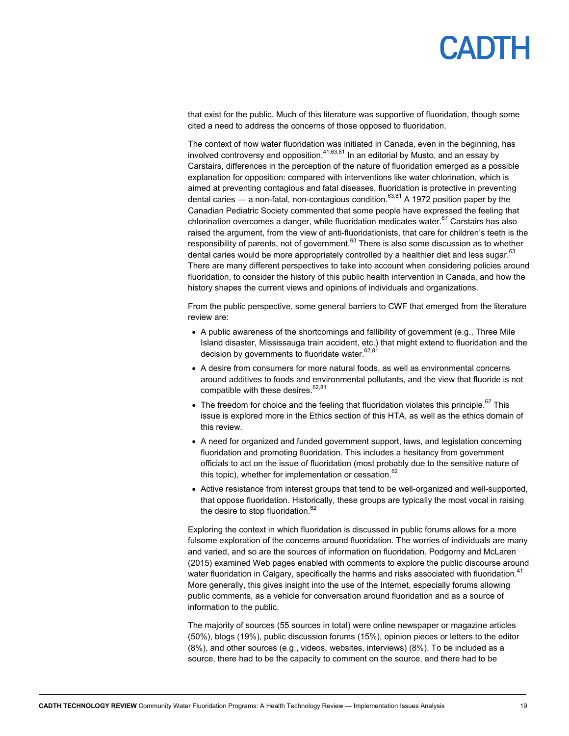that exist for the public. Much of this literature was supportive of fluoridation, though some cited a need to address the concerns of those opposed to fluoridation.

The context of how water fluoridation was initiated in Canada, even in the beginning, has involved controversy and opposition.  $41,63,81$  In an editorial by Musto, and an essay by Carstairs, differences in the perception of the nature of fluoridation emerged as a possible explanation for opposition: compared with interventions like water chlorination, which is aimed at preventing contagious and fatal diseases, fluoridation is protective in preventing dental caries — a non-fatal, non-contagious condition.<sup>63,81</sup> A 1972 position paper by the Canadian Pediatric Society commented that some people have expressed the feeling that chlorination overcomes a danger, while fluoridation medicates water.<sup>67</sup> Carstairs has also raised the argument, from the view of anti-fluoridationists, that care for children's teeth is the responsibility of parents, not of government. $63$  There is also some discussion as to whether dental caries would be more appropriately controlled by a healthier diet and less sugar.<sup>63</sup> There are many different perspectives to take into account when considering policies around fluoridation, to consider the history of this public health intervention in Canada, and how the history shapes the current views and opinions of individuals and organizations.

From the public perspective, some general barriers to CWF that emerged from the literature review are:

- A public awareness of the shortcomings and fallibility of government (e.g., Three Mile Island disaster, Mississauga train accident, etc.) that might extend to fluoridation and the decision by governments to fluoridate water.<sup>62,81</sup>
- A desire from consumers for more natural foods, as well as environmental concerns around additives to foods and environmental pollutants, and the view that fluoride is not compatible with these desires. $62,81$
- $\bullet$  The freedom for choice and the feeling that fluoridation violates this principle.<sup>62</sup> This issue is explored more in the Ethics section of this HTA, as well as the ethics domain of this review.
- A need for organized and funded government support, laws, and legislation concerning fluoridation and promoting fluoridation. This includes a hesitancy from government officials to act on the issue of fluoridation (most probably due to the sensitive nature of this topic), whether for implementation or cessation. $62$
- Active resistance from interest groups that tend to be well-organized and well-supported, that oppose fluoridation. Historically, these groups are typically the most vocal in raising the desire to stop fluoridation. $62$

Exploring the context in which fluoridation is discussed in public forums allows for a more fulsome exploration of the concerns around fluoridation. The worries of individuals are many and varied, and so are the sources of information on fluoridation. Podgorny and McLaren (2015) examined Web pages enabled with comments to explore the public discourse around water fluoridation in Calgary, specifically the harms and risks associated with fluoridation.<sup>41</sup> More generally, this gives insight into the use of the Internet, especially forums allowing public comments, as a vehicle for conversation around fluoridation and as a source of information to the public.

The majority of sources (55 sources in total) were online newspaper or magazine articles (50%), blogs (19%), public discussion forums (15%), opinion pieces or letters to the editor (8%), and other sources (e.g., videos, websites, interviews) (8%). To be included as a source, there had to be the capacity to comment on the source, and there had to be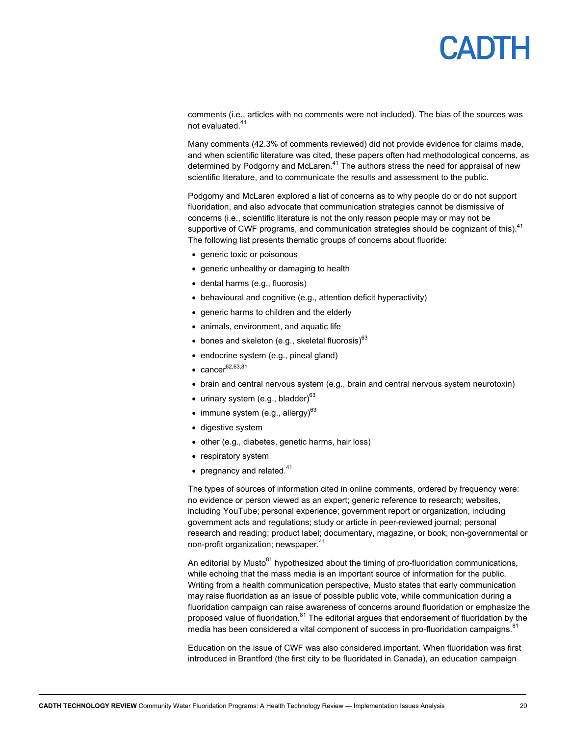comments (i.e., articles with no comments were not included). The bias of the sources was not evaluated.<sup>41</sup>

Many comments (42.3% of comments reviewed) did not provide evidence for claims made, and when scientific literature was cited, these papers often had methodological concerns, as determined by Podgorny and McLaren.<sup>41</sup> The authors stress the need for appraisal of new scientific literature, and to communicate the results and assessment to the public.

Podgorny and McLaren explored a list of concerns as to why people do or do not support fluoridation, and also advocate that communication strategies cannot be dismissive of concerns (i.e., scientific literature is not the only reason people may or may not be supportive of CWF programs, and communication strategies should be cognizant of this).<sup>41</sup> The following list presents thematic groups of concerns about fluoride:

- generic toxic or poisonous
- generic unhealthy or damaging to health
- dental harms (e.g., fluorosis)
- behavioural and cognitive (e.g., attention deficit hyperactivity)
- generic harms to children and the elderly
- animals, environment, and aquatic life
- $\bullet$  bones and skeleton (e.g., skeletal fluorosis)<sup>63</sup>
- endocrine system (e.g., pineal gland)
- $\bullet$  cancer  $62,63,81$
- brain and central nervous system (e.g., brain and central nervous system neurotoxin)
- $\bullet$  urinary system (e.g., bladder)<sup>63</sup>
- $\bullet$  immune system (e.g., allergy)<sup>63</sup>
- digestive system
- other (e.g., diabetes, genetic harms, hair loss)
- respiratory system
- pregnancy and related. $41$

The types of sources of information cited in online comments, ordered by frequency were: no evidence or person viewed as an expert; generic reference to research; websites, including YouTube; personal experience; government report or organization, including government acts and regulations; study or article in peer-reviewed journal; personal research and reading; product label; documentary, magazine, or book; non-governmental or non-profit organization; newspaper.<sup>41</sup>

An editorial by Musto $81$  hypothesized about the timing of pro-fluoridation communications, while echoing that the mass media is an important source of information for the public. Writing from a health communication perspective, Musto states that early communication may raise fluoridation as an issue of possible public vote, while communication during a fluoridation campaign can raise awareness of concerns around fluoridation or emphasize the proposed value of fluoridation. $81$  The editorial argues that endorsement of fluoridation by the media has been considered a vital component of success in pro-fluoridation campaigns.<sup>81</sup>

Education on the issue of CWF was also considered important. When fluoridation was first introduced in Brantford (the first city to be fluoridated in Canada), an education campaign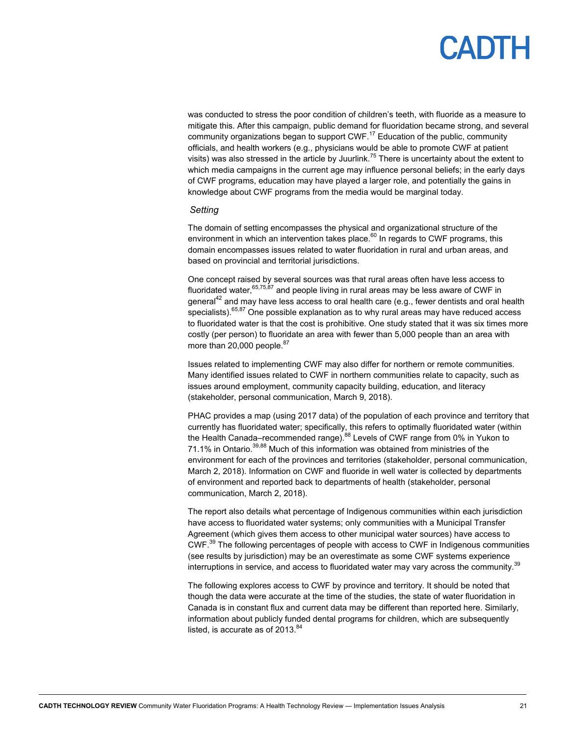was conducted to stress the poor condition of children's teeth, with fluoride as a measure to mitigate this. After this campaign, public demand for fluoridation became strong, and several community organizations began to support  $CWF<sup>17</sup>$  Education of the public, community officials, and health workers (e.g., physicians would be able to promote CWF at patient visits) was also stressed in the article by Juurlink.<sup>75</sup> There is uncertainty about the extent to which media campaigns in the current age may influence personal beliefs; in the early days of CWF programs, education may have played a larger role, and potentially the gains in knowledge about CWF programs from the media would be marginal today.

#### *Setting*

The domain of setting encompasses the physical and organizational structure of the environment in which an intervention takes place. $^{60}$  In regards to CWF programs, this domain encompasses issues related to water fluoridation in rural and urban areas, and based on provincial and territorial jurisdictions.

One concept raised by several sources was that rural areas often have less access to fluoridated water,  $65,75,87$  and people living in rural areas may be less aware of CWF in general<sup>42</sup> and may have less access to oral health care (e.g., fewer dentists and oral health specialists). $65,87$  One possible explanation as to why rural areas may have reduced access to fluoridated water is that the cost is prohibitive. One study stated that it was six times more costly (per person) to fluoridate an area with fewer than 5,000 people than an area with more than 20,000 people.<sup>87</sup>

Issues related to implementing CWF may also differ for northern or remote communities. Many identified issues related to CWF in northern communities relate to capacity, such as issues around employment, community capacity building, education, and literacy (stakeholder, personal communication, March 9, 2018).

PHAC provides a map (using 2017 data) of the population of each province and territory that currently has fluoridated water; specifically, this refers to optimally fluoridated water (within the Health Canada–recommended range).88 Levels of CWF range from 0% in Yukon to 71.1% in Ontario.<sup>39,88</sup> Much of this information was obtained from ministries of the environment for each of the provinces and territories (stakeholder, personal communication, March 2, 2018). Information on CWF and fluoride in well water is collected by departments of environment and reported back to departments of health (stakeholder, personal communication, March 2, 2018).

The report also details what percentage of Indigenous communities within each jurisdiction have access to fluoridated water systems; only communities with a Municipal Transfer Agreement (which gives them access to other municipal water sources) have access to CWF.39 The following percentages of people with access to CWF in Indigenous communities (see results by jurisdiction) may be an overestimate as some CWF systems experience interruptions in service, and access to fluoridated water may vary across the community.<sup>39</sup>

The following explores access to CWF by province and territory. It should be noted that though the data were accurate at the time of the studies, the state of water fluoridation in Canada is in constant flux and current data may be different than reported here. Similarly, information about publicly funded dental programs for children, which are subsequently listed, is accurate as of  $2013$ .  $84$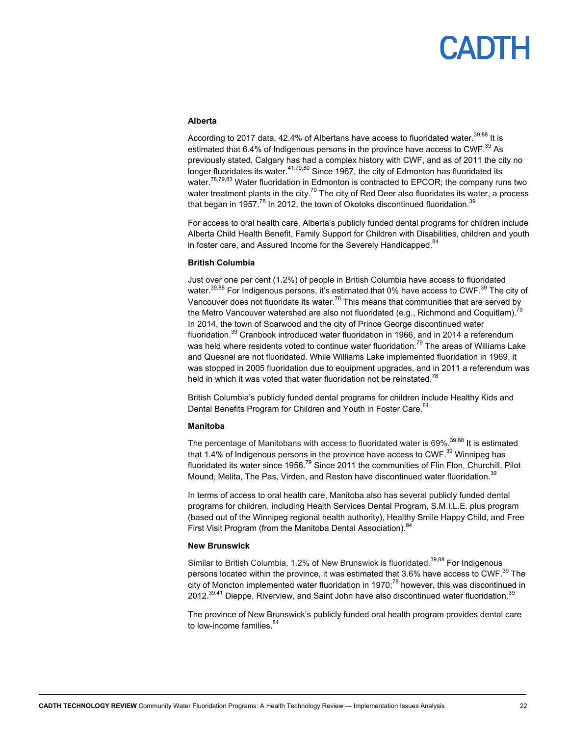#### **Alberta**

According to 2017 data, 42.4% of Albertans have access to fluoridated water.<sup>39,88</sup> It is estimated that 6.4% of Indigenous persons in the province have access to CWF.<sup>39</sup> As previously stated, Calgary has had a complex history with CWF, and as of 2011 the city no longer fluoridates its water.<sup>41,79,80</sup> Since 1967, the city of Edmonton has fluoridated its water.<sup>78,79,83</sup> Water fluoridation in Edmonton is contracted to EPCOR; the company runs two water treatment plants in the city.<sup>79</sup> The city of Red Deer also fluoridates its water, a process that began in 1957.<sup>78</sup> In 2012, the town of Okotoks discontinued fluoridation.<sup>39</sup>

For access to oral health care, Alberta's publicly funded dental programs for children include Alberta Child Health Benefit, Family Support for Children with Disabilities, children and youth in foster care, and Assured Income for the Severely Handicapped. $^{84}$ 

#### **British Columbia**

Just over one per cent (1.2%) of people in British Columbia have access to fluoridated water.<sup>39,88</sup> For Indigenous persons, it's estimated that 0% have access to CWF.<sup>39</sup> The city of Vancouver does not fluoridate its water.<sup>78</sup> This means that communities that are served by the Metro Vancouver watershed are also not fluoridated (e.g., Richmond and Coquitlam).<sup>79</sup> In 2014, the town of Sparwood and the city of Prince George discontinued water fluoridation.<sup>39</sup> Cranbook introduced water fluoridation in 1966, and in 2014 a referendum was held where residents voted to continue water fluoridation.<sup>79</sup> The areas of Williams Lake and Quesnel are not fluoridated. While Williams Lake implemented fluoridation in 1969, it was stopped in 2005 fluoridation due to equipment upgrades, and in 2011 a referendum was held in which it was voted that water fluoridation not be reinstated.<sup>78</sup>

British Columbia's publicly funded dental programs for children include Healthy Kids and Dental Benefits Program for Children and Youth in Foster Care.<sup>84</sup>

#### **Manitoba**

The percentage of Manitobans with access to fluoridated water is 69%.<sup>39,88</sup> It is estimated that 1.4% of Indigenous persons in the province have access to CWF.<sup>39</sup> Winnipeg has fluoridated its water since 1956.<sup>79</sup> Since 2011 the communities of Flin Flon, Churchill, Pilot Mound, Melita, The Pas, Virden, and Reston have discontinued water fluoridation.<sup>39</sup>

In terms of access to oral health care, Manitoba also has several publicly funded dental programs for children, including Health Services Dental Program, S.M.I.L.E. plus program (based out of the Winnipeg regional health authority), Healthy Smile Happy Child, and Free First Visit Program (from the Manitoba Dental Association).<sup>84</sup>

#### **New Brunswick**

Similar to British Columbia, 1.2% of New Brunswick is fluoridated.<sup>39,88</sup> For Indigenous persons located within the province, it was estimated that 3.6% have access to CWF.<sup>39</sup> The city of Moncton implemented water fluoridation in 1970;<sup>78</sup> however, this was discontinued in 2012.<sup>39,41</sup> Dieppe, Riverview, and Saint John have also discontinued water fluoridation.<sup>39</sup>

The province of New Brunswick's publicly funded oral health program provides dental care to low-income families. $84$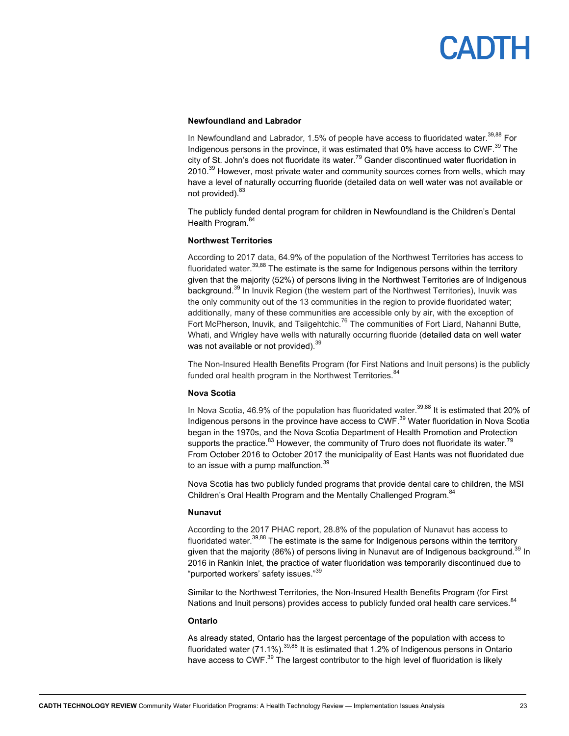#### **Newfoundland and Labrador**

In Newfoundland and Labrador, 1.5% of people have access to fluoridated water.<sup>39,88</sup> For Indigenous persons in the province, it was estimated that 0% have access to CWF.<sup>39</sup> The city of St. John's does not fluoridate its water.<sup>79</sup> Gander discontinued water fluoridation in 2010.<sup>39</sup> However, most private water and community sources comes from wells, which may have a level of naturally occurring fluoride (detailed data on well water was not available or not provided).<sup>83</sup>

The publicly funded dental program for children in Newfoundland is the Children's Dental Health Program.<sup>84</sup>

#### **Northwest Territories**

According to 2017 data, 64.9% of the population of the Northwest Territories has access to fluoridated water.<sup>39,88</sup> The estimate is the same for Indigenous persons within the territory given that the majority (52%) of persons living in the Northwest Territories are of Indigenous background.<sup>39</sup> In Inuvik Region (the western part of the Northwest Territories), Inuvik was the only community out of the 13 communities in the region to provide fluoridated water; additionally, many of these communities are accessible only by air, with the exception of Fort McPherson, Inuvik, and Tsiigehtchic.<sup>76</sup> The communities of Fort Liard, Nahanni Butte, Whati, and Wrigley have wells with naturally occurring fluoride (detailed data on well water was not available or not provided). $^{\rm 39}$ 

The Non-Insured Health Benefits Program (for First Nations and Inuit persons) is the publicly funded oral health program in the Northwest Territories.<sup>84</sup>

#### **Nova Scotia**

In Nova Scotia, 46.9% of the population has fluoridated water.<sup>39,88</sup> It is estimated that 20% of Indigenous persons in the province have access to CWF.<sup>39</sup> Water fluoridation in Nova Scotia began in the 1970s, and the Nova Scotia Department of Health Promotion and Protection supports the practice. $83$  However, the community of Truro does not fluoridate its water.<sup>79</sup> From October 2016 to October 2017 the municipality of East Hants was not fluoridated due to an issue with a pump malfunction.<sup>39</sup>

Nova Scotia has two publicly funded programs that provide dental care to children, the MSI Children's Oral Health Program and the Mentally Challenged Program.<sup>84</sup>

#### **Nunavut**

According to the 2017 PHAC report, 28.8% of the population of Nunavut has access to fluoridated water.<sup>39,88</sup> The estimate is the same for Indigenous persons within the territory given that the majority (86%) of persons living in Nunavut are of Indigenous background.<sup>39</sup> In 2016 in Rankin Inlet, the practice of water fluoridation was temporarily discontinued due to "purported workers' safety issues."39

Similar to the Northwest Territories, the Non-Insured Health Benefits Program (for First Nations and Inuit persons) provides access to publicly funded oral health care services. <sup>84</sup>

#### **Ontario**

As already stated, Ontario has the largest percentage of the population with access to fluoridated water (71.1%).<sup>39,88</sup> It is estimated that 1.2% of Indigenous persons in Ontario have access to CWF.<sup>39</sup> The largest contributor to the high level of fluoridation is likely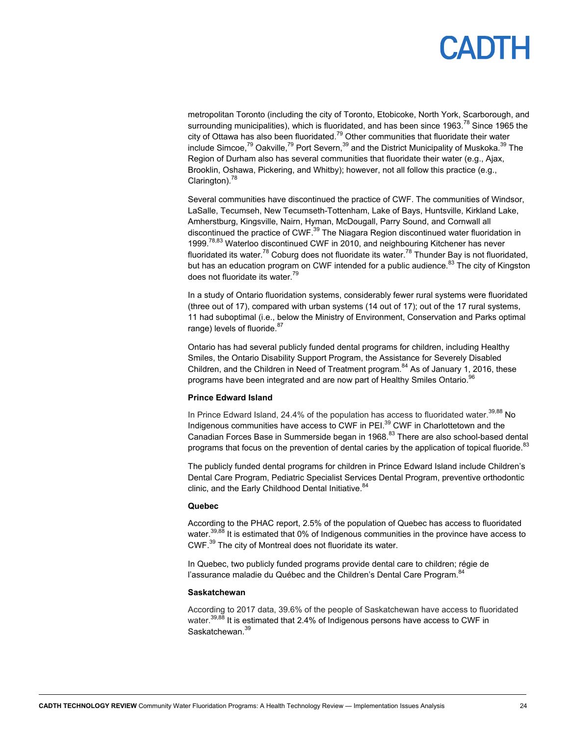### **ADIH**

metropolitan Toronto (including the city of Toronto, Etobicoke, North York, Scarborough, and surrounding municipalities), which is fluoridated, and has been since 1963.<sup>78</sup> Since 1965 the city of Ottawa has also been fluoridated. $^{79}$  Other communities that fluoridate their water include Simcoe,<sup>79</sup> Oakville,<sup>79</sup> Port Severn,<sup>39</sup> and the District Municipality of Muskoka.<sup>39</sup> The Region of Durham also has several communities that fluoridate their water (e.g., Ajax, Brooklin, Oshawa, Pickering, and Whitby); however, not all follow this practice (e.g., Clarington).<sup>78</sup>

Several communities have discontinued the practice of CWF. The communities of Windsor, LaSalle, Tecumseh, New Tecumseth-Tottenham, Lake of Bays, Huntsville, Kirkland Lake, Amherstburg, Kingsville, Nairn, Hyman, McDougall, Parry Sound, and Cornwall all discontinued the practice of CWF.<sup>39</sup> The Niagara Region discontinued water fluoridation in 1999.<sup>78,83</sup> Waterloo discontinued CWF in 2010, and neighbouring Kitchener has never fluoridated its water.<sup>78</sup> Coburg does not fluoridate its water.<sup>78</sup> Thunder Bay is not fluoridated, but has an education program on CWF intended for a public audience.<sup>83</sup> The city of Kingston does not fluoridate its water.<sup>79</sup>

In a study of Ontario fluoridation systems, considerably fewer rural systems were fluoridated (three out of 17), compared with urban systems (14 out of 17); out of the 17 rural systems, 11 had suboptimal (i.e., below the Ministry of Environment, Conservation and Parks optimal range) levels of fluoride.<sup>87</sup>

Ontario has had several publicly funded dental programs for children, including Healthy Smiles, the Ontario Disability Support Program, the Assistance for Severely Disabled Children, and the Children in Need of Treatment program.<sup>84</sup> As of January 1, 2016, these programs have been integrated and are now part of Healthy Smiles Ontario.<sup>96</sup>

#### **Prince Edward Island**

In Prince Edward Island, 24.4% of the population has access to fluoridated water.<sup>39,88</sup> No Indigenous communities have access to CWF in PEI.<sup>39</sup> CWF in Charlottetown and the Canadian Forces Base in Summerside began in 1968.<sup>83</sup> There are also school-based dental programs that focus on the prevention of dental caries by the application of topical fluoride.<sup>83</sup>

The publicly funded dental programs for children in Prince Edward Island include Children's Dental Care Program, Pediatric Specialist Services Dental Program, preventive orthodontic clinic, and the Early Childhood Dental Initiative.<sup>84</sup>

#### **Quebec**

According to the PHAC report, 2.5% of the population of Quebec has access to fluoridated water.<sup>39,88</sup> It is estimated that 0% of Indigenous communities in the province have access to CWF.39 The city of Montreal does not fluoridate its water.

In Quebec, two publicly funded programs provide dental care to children; régie de l'assurance maladie du Québec and the Children's Dental Care Program.<sup>84</sup>

#### **Saskatchewan**

According to 2017 data, 39.6% of the people of Saskatchewan have access to fluoridated water.<sup>39,88</sup> It is estimated that 2.4% of Indigenous persons have access to CWF in Saskatchewan.<sup>39</sup>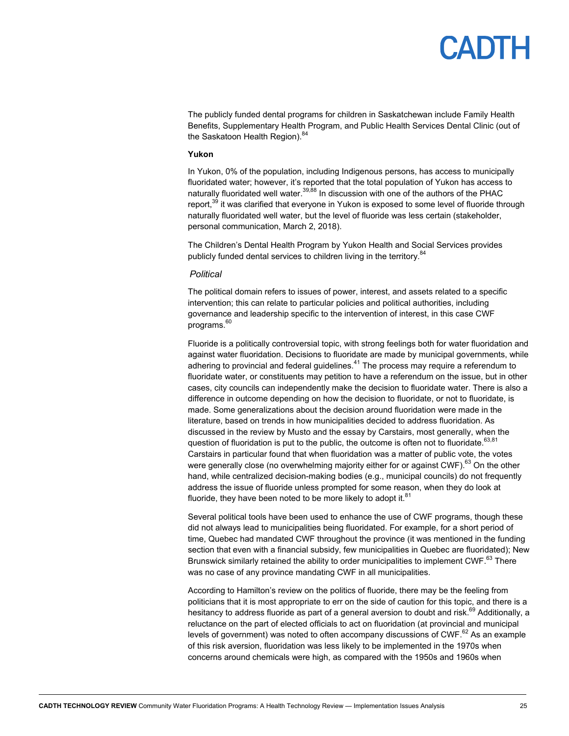The publicly funded dental programs for children in Saskatchewan include Family Health Benefits, Supplementary Health Program, and Public Health Services Dental Clinic (out of the Saskatoon Health Region).<sup>84</sup>

#### **Yukon**

In Yukon, 0% of the population, including Indigenous persons, has access to municipally fluoridated water; however, it's reported that the total population of Yukon has access to naturally fluoridated well water.<sup>39,88</sup> In discussion with one of the authors of the PHAC report,<sup>39</sup> it was clarified that everyone in Yukon is exposed to some level of fluoride through naturally fluoridated well water, but the level of fluoride was less certain (stakeholder, personal communication, March 2, 2018).

The Children's Dental Health Program by Yukon Health and Social Services provides publicly funded dental services to children living in the territory.<sup>84</sup>

#### *Political*

The political domain refers to issues of power, interest, and assets related to a specific intervention; this can relate to particular policies and political authorities, including governance and leadership specific to the intervention of interest, in this case CWF programs.<sup>60</sup>

Fluoride is a politically controversial topic, with strong feelings both for water fluoridation and against water fluoridation. Decisions to fluoridate are made by municipal governments, while adhering to provincial and federal guidelines. $41$  The process may require a referendum to fluoridate water, or constituents may petition to have a referendum on the issue, but in other cases, city councils can independently make the decision to fluoridate water. There is also a difference in outcome depending on how the decision to fluoridate, or not to fluoridate, is made. Some generalizations about the decision around fluoridation were made in the literature, based on trends in how municipalities decided to address fluoridation. As discussed in the review by Musto and the essay by Carstairs, most generally, when the question of fluoridation is put to the public, the outcome is often not to fluoridate.  $63,81$ Carstairs in particular found that when fluoridation was a matter of public vote, the votes were generally close (no overwhelming majority either for or against CWF).<sup>63</sup> On the other hand, while centralized decision-making bodies (e.g., municipal councils) do not frequently address the issue of fluoride unless prompted for some reason, when they do look at fluoride, they have been noted to be more likely to adopt it. $81$ 

Several political tools have been used to enhance the use of CWF programs, though these did not always lead to municipalities being fluoridated. For example, for a short period of time, Quebec had mandated CWF throughout the province (it was mentioned in the funding section that even with a financial subsidy, few municipalities in Quebec are fluoridated); New Brunswick similarly retained the ability to order municipalities to implement CWF.<sup>63</sup> There was no case of any province mandating CWF in all municipalities.

According to Hamilton's review on the politics of fluoride, there may be the feeling from politicians that it is most appropriate to err on the side of caution for this topic, and there is a hesitancy to address fluoride as part of a general aversion to doubt and risk.<sup>69</sup> Additionally, a reluctance on the part of elected officials to act on fluoridation (at provincial and municipal levels of government) was noted to often accompany discussions of CWF. $62$  As an example of this risk aversion, fluoridation was less likely to be implemented in the 1970s when concerns around chemicals were high, as compared with the 1950s and 1960s when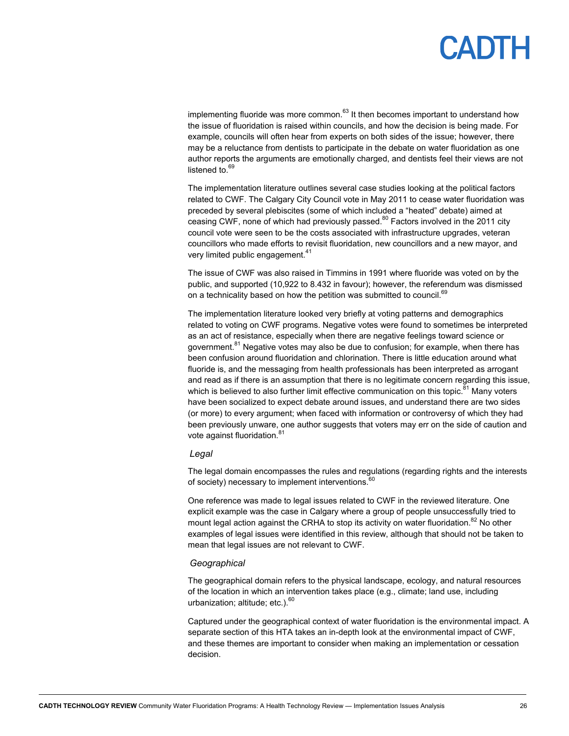implementing fluoride was more common. $63$  It then becomes important to understand how the issue of fluoridation is raised within councils, and how the decision is being made. For example, councils will often hear from experts on both sides of the issue; however, there may be a reluctance from dentists to participate in the debate on water fluoridation as one author reports the arguments are emotionally charged, and dentists feel their views are not listened to.<sup>69</sup>

The implementation literature outlines several case studies looking at the political factors related to CWF. The Calgary City Council vote in May 2011 to cease water fluoridation was preceded by several plebiscites (some of which included a "heated" debate) aimed at ceasing CWF, none of which had previously passed.<sup>80</sup> Factors involved in the 2011 city council vote were seen to be the costs associated with infrastructure upgrades, veteran councillors who made efforts to revisit fluoridation, new councillors and a new mayor, and very limited public engagement.<sup>41</sup>

The issue of CWF was also raised in Timmins in 1991 where fluoride was voted on by the public, and supported (10,922 to 8.432 in favour); however, the referendum was dismissed on a technicality based on how the petition was submitted to council.<sup>69</sup>

The implementation literature looked very briefly at voting patterns and demographics related to voting on CWF programs. Negative votes were found to sometimes be interpreted as an act of resistance, especially when there are negative feelings toward science or government.<sup>81</sup> Negative votes may also be due to confusion; for example, when there has been confusion around fluoridation and chlorination. There is little education around what fluoride is, and the messaging from health professionals has been interpreted as arrogant and read as if there is an assumption that there is no legitimate concern regarding this issue, which is believed to also further limit effective communication on this topic. $81$  Many voters have been socialized to expect debate around issues, and understand there are two sides (or more) to every argument; when faced with information or controversy of which they had been previously unware, one author suggests that voters may err on the side of caution and vote against fluoridation.<sup>81</sup>

#### *Legal*

The legal domain encompasses the rules and regulations (regarding rights and the interests of society) necessary to implement interventions.<sup>60</sup>

One reference was made to legal issues related to CWF in the reviewed literature. One explicit example was the case in Calgary where a group of people unsuccessfully tried to mount legal action against the CRHA to stop its activity on water fluoridation.<sup>82</sup> No other examples of legal issues were identified in this review, although that should not be taken to mean that legal issues are not relevant to CWF.

#### *Geographical*

The geographical domain refers to the physical landscape, ecology, and natural resources of the location in which an intervention takes place (e.g., climate; land use, including urbanization; altitude; etc.).<sup>60</sup>

Captured under the geographical context of water fluoridation is the environmental impact. A separate section of this HTA takes an in-depth look at the environmental impact of CWF, and these themes are important to consider when making an implementation or cessation decision.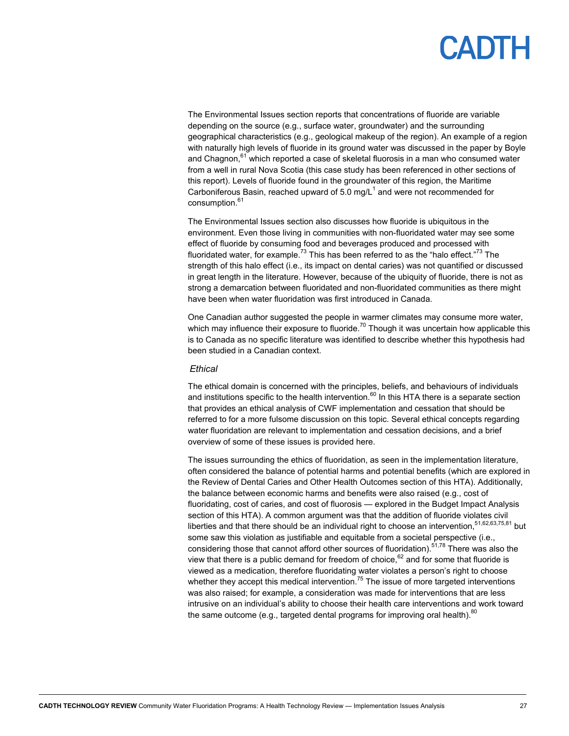The Environmental Issues section reports that concentrations of fluoride are variable depending on the source (e.g., surface water, groundwater) and the surrounding geographical characteristics (e.g., geological makeup of the region). An example of a region with naturally high levels of fluoride in its ground water was discussed in the paper by Boyle and Chagnon, $61$  which reported a case of skeletal fluorosis in a man who consumed water from a well in rural Nova Scotia (this case study has been referenced in other sections of this report). Levels of fluoride found in the groundwater of this region, the Maritime Carboniferous Basin, reached upward of 5.0 mg/L<sup>1</sup> and were not recommended for consumption.<sup>61</sup>

The Environmental Issues section also discusses how fluoride is ubiquitous in the environment. Even those living in communities with non-fluoridated water may see some effect of fluoride by consuming food and beverages produced and processed with fluoridated water, for example.<sup>73</sup> This has been referred to as the "halo effect."<sup>73</sup> The strength of this halo effect (i.e., its impact on dental caries) was not quantified or discussed in great length in the literature. However, because of the ubiquity of fluoride, there is not as strong a demarcation between fluoridated and non-fluoridated communities as there might have been when water fluoridation was first introduced in Canada.

One Canadian author suggested the people in warmer climates may consume more water, which may influence their exposure to fluoride.<sup>70</sup> Though it was uncertain how applicable this is to Canada as no specific literature was identified to describe whether this hypothesis had been studied in a Canadian context.

#### *Ethical*

The ethical domain is concerned with the principles, beliefs, and behaviours of individuals and institutions specific to the health intervention.<sup>60</sup> In this HTA there is a separate section that provides an ethical analysis of CWF implementation and cessation that should be referred to for a more fulsome discussion on this topic. Several ethical concepts regarding water fluoridation are relevant to implementation and cessation decisions, and a brief overview of some of these issues is provided here.

The issues surrounding the ethics of fluoridation, as seen in the implementation literature, often considered the balance of potential harms and potential benefits (which are explored in the Review of Dental Caries and Other Health Outcomes section of this HTA). Additionally, the balance between economic harms and benefits were also raised (e.g., cost of fluoridating, cost of caries, and cost of fluorosis — explored in the Budget Impact Analysis section of this HTA). A common argument was that the addition of fluoride violates civil liberties and that there should be an individual right to choose an intervention,  $51,62,63,75,81$  but some saw this violation as justifiable and equitable from a societal perspective (i.e., considering those that cannot afford other sources of fluoridation).<sup>51,78</sup> There was also the view that there is a public demand for freedom of choice,  $62$  and for some that fluoride is viewed as a medication, therefore fluoridating water violates a person's right to choose whether they accept this medical intervention.<sup>75</sup> The issue of more targeted interventions was also raised; for example, a consideration was made for interventions that are less intrusive on an individual's ability to choose their health care interventions and work toward the same outcome (e.g., targeted dental programs for improving oral health).<sup>80</sup>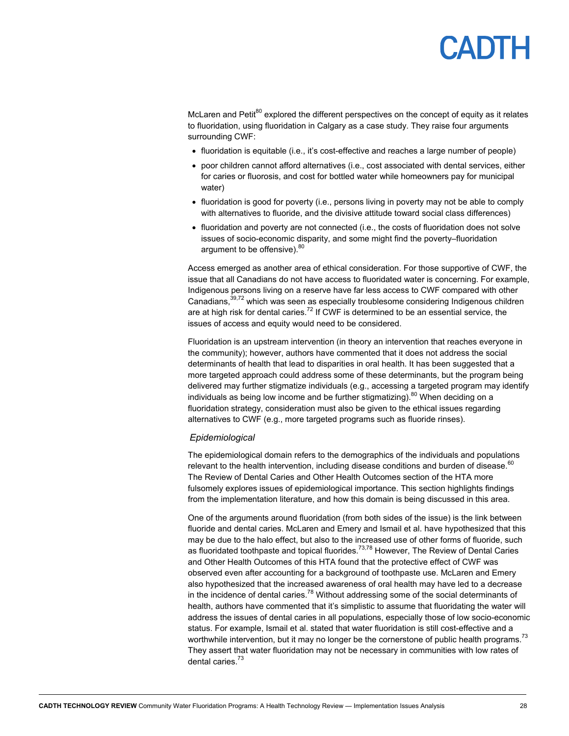# PADIH

McLaren and Petit $^{80}$  explored the different perspectives on the concept of equity as it relates to fluoridation, using fluoridation in Calgary as a case study. They raise four arguments surrounding CWF:

- fluoridation is equitable (i.e., it's cost-effective and reaches a large number of people)
- poor children cannot afford alternatives (i.e., cost associated with dental services, either for caries or fluorosis, and cost for bottled water while homeowners pay for municipal water)
- fluoridation is good for poverty (i.e., persons living in poverty may not be able to comply with alternatives to fluoride, and the divisive attitude toward social class differences)
- fluoridation and poverty are not connected (i.e., the costs of fluoridation does not solve issues of socio-economic disparity, and some might find the poverty–fluoridation argument to be offensive). 80

Access emerged as another area of ethical consideration. For those supportive of CWF, the issue that all Canadians do not have access to fluoridated water is concerning. For example, Indigenous persons living on a reserve have far less access to CWF compared with other Canadians,39,72 which was seen as especially troublesome considering Indigenous children are at high risk for dental caries.<sup>72</sup> If CWF is determined to be an essential service, the issues of access and equity would need to be considered.

Fluoridation is an upstream intervention (in theory an intervention that reaches everyone in the community); however, authors have commented that it does not address the social determinants of health that lead to disparities in oral health. It has been suggested that a more targeted approach could address some of these determinants, but the program being delivered may further stigmatize individuals (e.g., accessing a targeted program may identify individuals as being low income and be further stigmatizing).<sup>80</sup> When deciding on a fluoridation strategy, consideration must also be given to the ethical issues regarding alternatives to CWF (e.g., more targeted programs such as fluoride rinses).

#### *Epidemiological*

The epidemiological domain refers to the demographics of the individuals and populations relevant to the health intervention, including disease conditions and burden of disease. $60$ The Review of Dental Caries and Other Health Outcomes section of the HTA more fulsomely explores issues of epidemiological importance. This section highlights findings from the implementation literature, and how this domain is being discussed in this area.

One of the arguments around fluoridation (from both sides of the issue) is the link between fluoride and dental caries. McLaren and Emery and Ismail et al. have hypothesized that this may be due to the halo effect, but also to the increased use of other forms of fluoride, such as fluoridated toothpaste and topical fluorides.<sup>73,78</sup> However, The Review of Dental Caries and Other Health Outcomes of this HTA found that the protective effect of CWF was observed even after accounting for a background of toothpaste use. McLaren and Emery also hypothesized that the increased awareness of oral health may have led to a decrease in the incidence of dental caries.<sup>78</sup> Without addressing some of the social determinants of health, authors have commented that it's simplistic to assume that fluoridating the water will address the issues of dental caries in all populations, especially those of low socio-economic status. For example, Ismail et al. stated that water fluoridation is still cost-effective and a worthwhile intervention, but it may no longer be the cornerstone of public health programs.<sup>73</sup> They assert that water fluoridation may not be necessary in communities with low rates of dental caries.<sup>73</sup>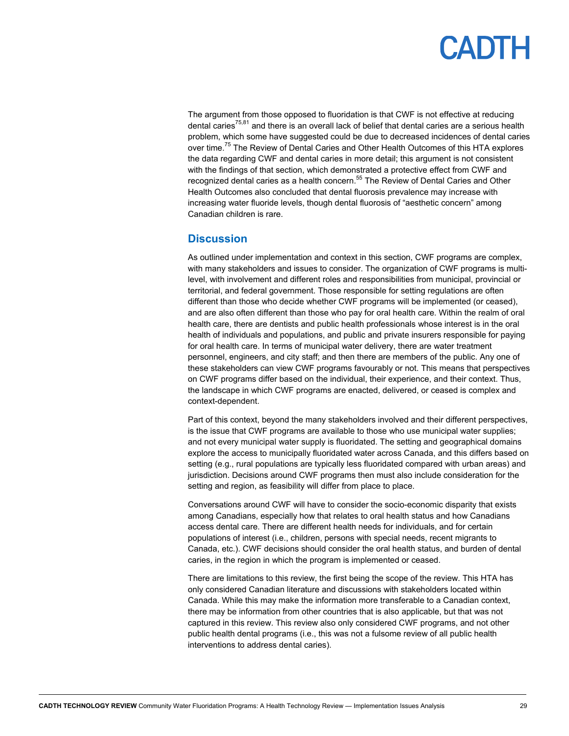The argument from those opposed to fluoridation is that CWF is not effective at reducing dental caries<sup>75,81</sup> and there is an overall lack of belief that dental caries are a serious health problem, which some have suggested could be due to decreased incidences of dental caries over time.<sup>75</sup> The Review of Dental Caries and Other Health Outcomes of this HTA explores the data regarding CWF and dental caries in more detail; this argument is not consistent with the findings of that section, which demonstrated a protective effect from CWF and recognized dental caries as a health concern.<sup>55</sup> The Review of Dental Caries and Other Health Outcomes also concluded that dental fluorosis prevalence may increase with increasing water fluoride levels, though dental fluorosis of "aesthetic concern" among Canadian children is rare.

### **Discussion**

As outlined under implementation and context in this section, CWF programs are complex, with many stakeholders and issues to consider. The organization of CWF programs is multilevel, with involvement and different roles and responsibilities from municipal, provincial or territorial, and federal government. Those responsible for setting regulations are often different than those who decide whether CWF programs will be implemented (or ceased), and are also often different than those who pay for oral health care. Within the realm of oral health care, there are dentists and public health professionals whose interest is in the oral health of individuals and populations, and public and private insurers responsible for paying for oral health care. In terms of municipal water delivery, there are water treatment personnel, engineers, and city staff; and then there are members of the public. Any one of these stakeholders can view CWF programs favourably or not. This means that perspectives on CWF programs differ based on the individual, their experience, and their context. Thus, the landscape in which CWF programs are enacted, delivered, or ceased is complex and context-dependent.

Part of this context, beyond the many stakeholders involved and their different perspectives, is the issue that CWF programs are available to those who use municipal water supplies; and not every municipal water supply is fluoridated. The setting and geographical domains explore the access to municipally fluoridated water across Canada, and this differs based on setting (e.g., rural populations are typically less fluoridated compared with urban areas) and jurisdiction. Decisions around CWF programs then must also include consideration for the setting and region, as feasibility will differ from place to place.

Conversations around CWF will have to consider the socio-economic disparity that exists among Canadians, especially how that relates to oral health status and how Canadians access dental care. There are different health needs for individuals, and for certain populations of interest (i.e., children, persons with special needs, recent migrants to Canada, etc.). CWF decisions should consider the oral health status, and burden of dental caries, in the region in which the program is implemented or ceased.

There are limitations to this review, the first being the scope of the review. This HTA has only considered Canadian literature and discussions with stakeholders located within Canada. While this may make the information more transferable to a Canadian context, there may be information from other countries that is also applicable, but that was not captured in this review. This review also only considered CWF programs, and not other public health dental programs (i.e., this was not a fulsome review of all public health interventions to address dental caries).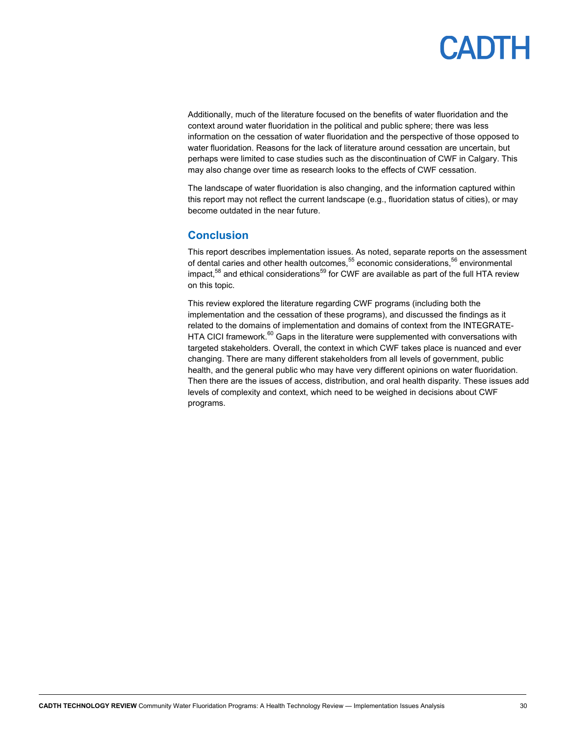Additionally, much of the literature focused on the benefits of water fluoridation and the context around water fluoridation in the political and public sphere; there was less information on the cessation of water fluoridation and the perspective of those opposed to water fluoridation. Reasons for the lack of literature around cessation are uncertain, but perhaps were limited to case studies such as the discontinuation of CWF in Calgary. This may also change over time as research looks to the effects of CWF cessation.

The landscape of water fluoridation is also changing, and the information captured within this report may not reflect the current landscape (e.g., fluoridation status of cities), or may become outdated in the near future.

### **Conclusion**

This report describes implementation issues. As noted, separate reports on the assessment of dental caries and other health outcomes,<sup>55</sup> economic considerations,<sup>56</sup> environmental impact, $58$  and ethical considerations $59$  for CWF are available as part of the full HTA review on this topic.

This review explored the literature regarding CWF programs (including both the implementation and the cessation of these programs), and discussed the findings as it related to the domains of implementation and domains of context from the INTEGRATE-HTA CICI framework. $60$  Gaps in the literature were supplemented with conversations with targeted stakeholders. Overall, the context in which CWF takes place is nuanced and ever changing. There are many different stakeholders from all levels of government, public health, and the general public who may have very different opinions on water fluoridation. Then there are the issues of access, distribution, and oral health disparity. These issues add levels of complexity and context, which need to be weighed in decisions about CWF programs.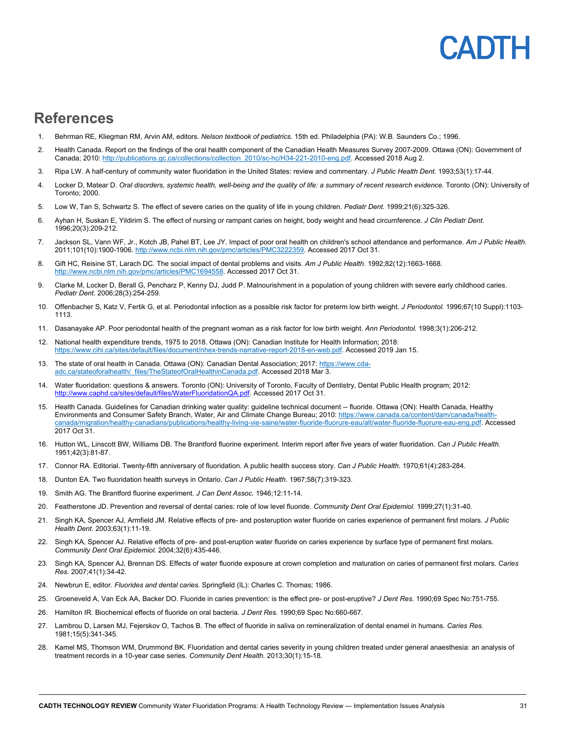## CADIL

### **References**

- 1. Behrman RE, Kliegman RM, Arvin AM, editors. *Nelson textbook of pediatrics.* 15th ed. Philadelphia (PA): W.B. Saunders Co.; 1996.
- 2. Health Canada. Report on the findings of the oral health component of the Canadian Health Measures Survey 2007-2009. Ottawa (ON): Government of Canada; 2010: http://publications.gc.ca/collections/collection\_2010/sc-hc/H34-221-2010-eng.pdf. Accessed 2018 Aug 2.
- 3. Ripa LW. A half-century of community water fluoridation in the United States: review and commentary. *J Public Health Dent.* 1993;53(1):17-44.
- 4. Locker D, Matear D. *Oral disorders, systemic health, well-being and the quality of life: a summary of recent research evidence.* Toronto (ON): University of Toronto; 2000.
- 5. Low W, Tan S, Schwartz S. The effect of severe caries on the quality of life in young children. *Pediatr Dent.* 1999;21(6):325-326.
- 6. Ayhan H, Suskan E, Yildirim S. The effect of nursing or rampant caries on height, body weight and head circumference. *J Clin Pediatr Dent.*  1996;20(3):209-212.
- 7. Jackson SL, Vann WF, Jr., Kotch JB, Pahel BT, Lee JY. Impact of poor oral health on children's school attendance and performance. *Am J Public Health.*  2011;101(10):1900-1906. http://www.ncbi.nlm.nih.gov/pmc/articles/PMC3222359. Accessed 2017 Oct 31.
- 8. Gift HC, Reisine ST, Larach DC. The social impact of dental problems and visits. *Am J Public Health.* 1992;82(12):1663-1668. http://www.ncbi.nlm.nih.gov/pmc/articles/PMC1694558. Accessed 2017 Oct 31.
- 9. Clarke M, Locker D, Berall G, Pencharz P, Kenny DJ, Judd P. Malnourishment in a population of young children with severe early childhood caries. *Pediatr Dent.* 2006;28(3):254-259.
- 10. Offenbacher S, Katz V, Fertik G, et al. Periodontal infection as a possible risk factor for preterm low birth weight. *J Periodontol.* 1996;67(10 Suppl):1103- 1113.
- 11. Dasanayake AP. Poor periodontal health of the pregnant woman as a risk factor for low birth weight. *Ann Periodontol.* 1998;3(1):206-212.
- 12. National health expenditure trends, 1975 to 2018. Ottawa (ON): Canadian Institute for Health Information; 2018: https://www.cihi.ca/sites/default/files/document/nhex-trends-narrative-report-2018-en-web.pdf. Accessed 2019 Jan 15.
- 13. The state of oral health in Canada. Ottawa (ON): Canadian Dental Association; 2017: https://www.cdaadc.ca/stateoforalhealth/\_files/TheStateofOralHealthinCanada.pdf. Accessed 2018 Mar 3.
- 14. Water fluoridation: questions & answers. Toronto (ON): University of Toronto, Faculty of Dentistry, Dental Public Health program; 2012: http://www.caphd.ca/sites/default/files/WaterFluoridationQA.pdf. Accessed 2017 Oct 31.
- 15. Health Canada. Guidelines for Canadian drinking water quality: guideline technical document -- fluoride. Ottawa (ON): Health Canada, Healthy Environments and Consumer Safety Branch, Water, Air and Climate Change Bureau; 2010: https://www.canada.ca/content/dam/canada/healthcanada/migration/healthy-canadians/publications/healthy-living-vie-saine/water-fluoride-fluorure-eau/alt/water-fluoride-fluorure-eau-eng.pdf. Accessed 2017 Oct 31.
- 16. Hutton WL, Linscott BW, Williams DB. The Brantford fluorine experiment. Interim report after five years of water fluoridation. *Can J Public Health.*  1951;42(3):81-87.
- 17. Connor RA. Editorial. Twenty-fifth anniversary of fluoridation. A public health success story. *Can J Public Health.* 1970;61(4):283-284.
- 18. Dunton EA. Two fluoridation health surveys in Ontario. *Can J Public Health.* 1967;58(7):319-323.
- 19. Smith AG. The Brantford fluorine experiment. *J Can Dent Assoc.* 1946;12:11-14.
- 20. Featherstone JD. Prevention and reversal of dental caries: role of low level fluoride. *Community Dent Oral Epidemiol.* 1999;27(1):31-40.
- 21. Singh KA, Spencer AJ, Armfield JM. Relative effects of pre- and posteruption water fluoride on caries experience of permanent first molars. *J Public Health Dent.* 2003;63(1):11-19.
- 22. Singh KA, Spencer AJ. Relative effects of pre- and post-eruption water fluoride on caries experience by surface type of permanent first molars. *Community Dent Oral Epidemiol.* 2004;32(6):435-446.
- 23. Singh KA, Spencer AJ, Brennan DS. Effects of water fluoride exposure at crown completion and maturation on caries of permanent first molars. *Caries Res.* 2007;41(1):34-42.
- 24. Newbrun E, editor. *Fluorides and dental caries.* Springfield (IL): Charles C. Thomas; 1986.
- 25. Groeneveld A, Van Eck AA, Backer DO. Fluoride in caries prevention: is the effect pre- or post-eruptive? *J Dent Res.* 1990;69 Spec No:751-755.
- 26. Hamilton IR. Biochemical effects of fluoride on oral bacteria. *J Dent Res.* 1990;69 Spec No:660-667.
- 27. Lambrou D, Larsen MJ, Fejerskov O, Tachos B. The effect of fluoride in saliva on remineralization of dental enamel in humans. *Caries Res.*  1981;15(5):341-345.
- 28. Kamel MS, Thomson WM, Drummond BK. Fluoridation and dental caries severity in young children treated under general anaesthesia: an analysis of treatment records in a 10-year case series. *Community Dent Health.* 2013;30(1):15-18.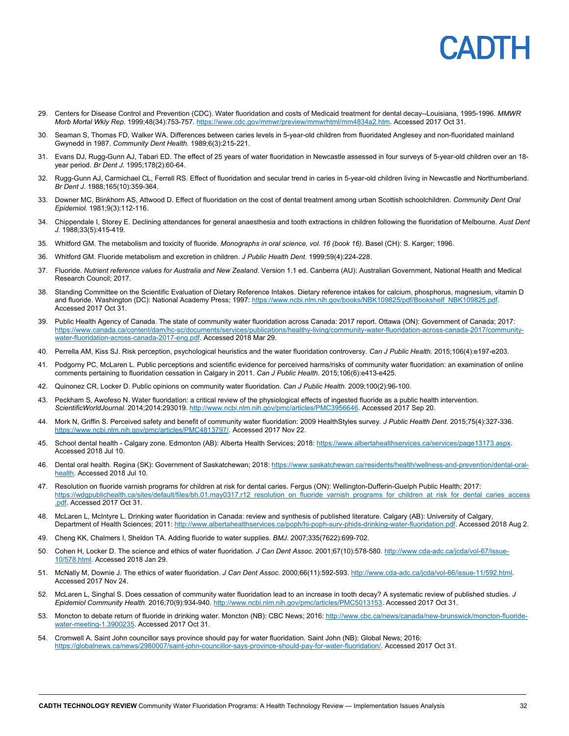- 29. Centers for Disease Control and Prevention (CDC). Water fluoridation and costs of Medicaid treatment for dental decay--Louisiana, 1995-1996. *MMWR Morb Mortal Wkly Rep.* 1999;48(34):753-757. https://www.cdc.gov/mmwr/preview/mmwrhtml/mm4834a2.htm. Accessed 2017 Oct 31.
- 30. Seaman S, Thomas FD, Walker WA. Differences between caries levels in 5-year-old children from fluoridated Anglesey and non-fluoridated mainland Gwynedd in 1987. *Community Dent Health.* 1989;6(3):215-221.
- 31. Evans DJ, Rugg-Gunn AJ, Tabari ED. The effect of 25 years of water fluoridation in Newcastle assessed in four surveys of 5-year-old children over an 18 year period. *Br Dent J.* 1995;178(2):60-64.
- 32. Rugg-Gunn AJ, Carmichael CL, Ferrell RS. Effect of fluoridation and secular trend in caries in 5-year-old children living in Newcastle and Northumberland. *Br Dent J.* 1988;165(10):359-364.
- 33. Downer MC, Blinkhorn AS, Attwood D. Effect of fluoridation on the cost of dental treatment among urban Scottish schoolchildren. *Community Dent Oral Epidemiol.* 1981;9(3):112-116.
- 34. Chippendale I, Storey E. Declining attendances for general anaesthesia and tooth extractions in children following the fluoridation of Melbourne. *Aust Dent J.* 1988;33(5):415-419.
- 35. Whitford GM. The metabolism and toxicity of fluoride. *Monographs in oral science, vol. 16 (book 16)*. Basel (CH): S. Karger; 1996.
- 36. Whitford GM. Fluoride metabolism and excretion in children. *J Public Health Dent.* 1999;59(4):224-228.
- 37. Fluoride. *Nutrient reference values for Australia and New Zealand*. Version 1.1 ed. Canberra (AU): Australian Government, National Health and Medical Research Council; 2017.
- 38. Standing Committee on the Scientific Evaluation of Dietary Reference Intakes. Dietary reference intakes for calcium, phosphorus, magnesium, vitamin D and fluoride. Washington (DC): National Academy Press; 1997: https://www.ncbi.nlm.nih.gov/books/NBK109825/pdf/Bookshelf\_NBK109825.pdf. Accessed 2017 Oct 31.
- 39. Public Health Agency of Canada. The state of community water fluoridation across Canada: 2017 report. Ottawa (ON): Government of Canada; 2017: https://www.canada.ca/content/dam/hc-sc/documents/services/publications/healthy-living/community-water-fluoridation-across-canada-2017/communitywater-fluoridation-across-canada-2017-eng.pdf. Accessed 2018 Mar 29.
- 40. Perrella AM, Kiss SJ. Risk perception, psychological heuristics and the water fluoridation controversy. *Can J Public Health.* 2015;106(4):e197-e203.
- 41. Podgorny PC, McLaren L. Public perceptions and scientific evidence for perceived harms/risks of community water fluoridation: an examination of online comments pertaining to fluoridation cessation in Calgary in 2011. *Can J Public Health.* 2015;106(6):e413-e425.
- 42. Quinonez CR, Locker D. Public opinions on community water fluoridation. *Can J Public Health.* 2009;100(2):96-100.
- 43. Peckham S, Awofeso N. Water fluoridation: a critical review of the physiological effects of ingested fluoride as a public health intervention. *ScientificWorldJournal.* 2014;2014:293019. http://www.ncbi.nlm.nih.gov/pmc/articles/PMC3956646. Accessed 2017 Sep 20.
- 44. Mork N, Griffin S. Perceived safety and benefit of community water fluoridation: 2009 HealthStyles survey. *J Public Health Dent.* 2015;75(4):327-336. https://www.ncbi.nlm.nih.gov/pmc/articles/PMC4813797/. Accessed 2017 Nov 22.
- 45. School dental health Calgary zone. Edmonton (AB): Alberta Health Services; 2018: https://www.albertahealthservices.ca/services/page13173.aspx. Accessed 2018 Jul 10.
- 46. Dental oral health. Regina (SK): Government of Saskatchewan; 2018: https://www.saskatchewan.ca/residents/health/wellness-and-prevention/dental-oralhealth. Accessed 2018 Jul 10.
- 47. Resolution on fluoride varnish programs for children at risk for dental caries. Fergus (ON): Wellington-Dufferin-Guelph Public Health; 2017: https://wdgpublichealth.ca/sites/default/files/bh.01.may0317.r12\_resolution\_on\_fluoride\_varnish\_programs\_for\_children\_at\_risk\_for\_dental\_caries\_access .pdf. Accessed 2017 Oct 31.
- 48. McLaren L, McIntyre L. Drinking water fluoridation in Canada: review and synthesis of published literature. Calgary (AB): University of Calgary, Department of Health Sciences; 2011: http://www.albertahealthservices.ca/poph/hi-poph-surv-phids-drinking-water-fluoridation.pdf. Accessed 2018 Aug 2.
- 49. Cheng KK, Chalmers I, Sheldon TA. Adding fluoride to water supplies. *BMJ.* 2007;335(7622):699-702.
- 50. Cohen H, Locker D. The science and ethics of water fluoridation. *J Can Dent Assoc.* 2001;67(10):578-580. http://www.cda-adc.ca/jcda/vol-67/issue-10/578.html. Accessed 2018 Jan 29.
- 51. McNally M, Downie J. The ethics of water fluoridation. *J Can Dent Assoc.* 2000;66(11):592-593. http://www.cda-adc.ca/jcda/vol-66/issue-11/592.html. Accessed 2017 Nov 24.
- 52. McLaren L, Singhal S. Does cessation of community water fluoridation lead to an increase in tooth decay? A systematic review of published studies. *J Epidemiol Community Health.* 2016;70(9):934-940. http://www.ncbi.nlm.nih.gov/pmc/articles/PMC5013153. Accessed 2017 Oct 31.
- 53. Moncton to debate return of fluoride in drinking water. Moncton (NB): CBC News; 2016: http://www.cbc.ca/news/canada/new-brunswick/moncton-fluoridewater-meeting-1.3900235. Accessed 2017 Oct 31.
- 54. Cromwell A. Saint John councillor says province should pay for water fluoridation. Saint John (NB): Global News; 2016: https://globalnews.ca/news/2980007/saint-john-councillor-says-province-should-pay-for-water-fluoridation/. Accessed 2017 Oct 31.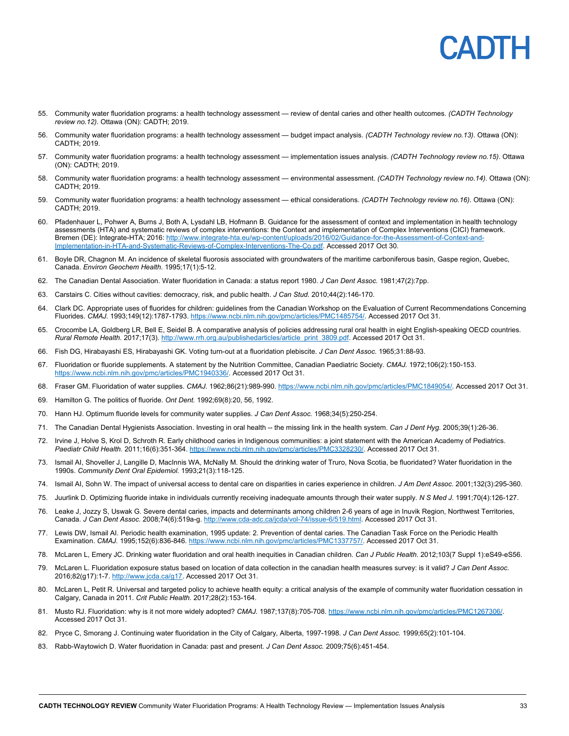

- 55. Community water fluoridation programs: a health technology assessment review of dental caries and other health outcomes. *(CADTH Technology review no.12)*. Ottawa (ON): CADTH; 2019.
- 56. Community water fluoridation programs: a health technology assessment budget impact analysis. *(CADTH Technology review no.13)*. Ottawa (ON): CADTH; 2019.
- 57. Community water fluoridation programs: a health technology assessment implementation issues analysis. *(CADTH Technology review no.15)*. Ottawa (ON): CADTH; 2019.
- 58. Community water fluoridation programs: a health technology assessment environmental assessment. *(CADTH Technology review no.14)*. Ottawa (ON): CADTH; 2019.
- 59. Community water fluoridation programs: a health technology assessment ethical considerations. *(CADTH Technology review no.16)*. Ottawa (ON): CADTH; 2019.
- 60. Pfadenhauer L, Pohwer A, Burns J, Both A, Lysdahl LB, Hofmann B. Guidance for the assessment of context and implementation in health technology assessments (HTA) and systematic reviews of complex interventions: the Context and implementation of Complex Interventions (CICI) framework. Bremen (DE): Integrate-HTA; 2016: http://www.integrate-hta.eu/wp-content/uploads/2016/02/Guidance-for-the-Assessment-of-Context-and-Implementation-in-HTA-and-Systematic-Reviews-of-Complex-Interventions-The-Co.pdf. Accessed 2017 Oct 30.
- 61. Boyle DR, Chagnon M. An incidence of skeletal fluorosis associated with groundwaters of the maritime carboniferous basin, Gaspe region, Quebec, Canada. *Environ Geochem Health.* 1995;17(1):5-12.
- 62. The Canadian Dental Association. Water fluoridation in Canada: a status report 1980. *J Can Dent Assoc.* 1981;47(2):7pp.
- 63. Carstairs C. Cities without cavities: democracy, risk, and public health. *J Can Stud.* 2010;44(2):146-170.
- 64. Clark DC. Appropriate uses of fluorides for children: guidelines from the Canadian Workshop on the Evaluation of Current Recommendations Concerning Fluorides. *CMAJ.* 1993;149(12):1787-1793. https://www.ncbi.nlm.nih.gov/pmc/articles/PMC1485754/. Accessed 2017 Oct 31.
- 65. Crocombe LA, Goldberg LR, Bell E, Seidel B. A comparative analysis of policies addressing rural oral health in eight English-speaking OECD countries. *Rural Remote Health.* 2017;17(3). http://www.rrh.org.au/publishedarticles/article\_print\_3809.pdf. Accessed 2017 Oct 31.
- 66. Fish DG, Hirabayashi ES, Hirabayashi GK. Voting turn-out at a fluoridation plebiscite. *J Can Dent Assoc.* 1965;31:88-93.
- 67. Fluoridation or fluoride supplements. A statement by the Nutrition Committee, Canadian Paediatric Society. *CMAJ.* 1972;106(2):150-153. https://www.ncbi.nlm.nih.gov/pmc/articles/PMC1940336/. Accessed 2017 Oct 31.
- 68. Fraser GM. Fluoridation of water supplies. *CMAJ.* 1962;86(21):989-990. https://www.ncbi.nlm.nih.gov/pmc/articles/PMC1849054/. Accessed 2017 Oct 31.
- 69. Hamilton G. The politics of fluoride. *Ont Dent.* 1992;69(8):20, 56, 1992.
- 70. Hann HJ. Optimum fluoride levels for community water supplies. *J Can Dent Assoc.* 1968;34(5):250-254.
- 71. The Canadian Dental Hygienists Association. Investing in oral health -- the missing link in the health system. *Can J Dent Hyg.* 2005;39(1):26-36.
- 72. Irvine J, Holve S, Krol D, Schroth R. Early childhood caries in Indigenous communities: a joint statement with the American Academy of Pediatrics. *Paediatr Child Health.* 2011;16(6):351-364. https://www.ncbi.nlm.nih.gov/pmc/articles/PMC3328230/. Accessed 2017 Oct 31.
- 73. Ismail AI, Shoveller J, Langille D, MacInnis WA, McNally M. Should the drinking water of Truro, Nova Scotia, be fluoridated? Water fluoridation in the 1990s. *Community Dent Oral Epidemiol.* 1993;21(3):118-125.
- 74. Ismail AI, Sohn W. The impact of universal access to dental care on disparities in caries experience in children. *J Am Dent Assoc.* 2001;132(3):295-360.
- 75. Juurlink D. Optimizing fluoride intake in individuals currently receiving inadequate amounts through their water supply. *N S Med J.* 1991;70(4):126-127.
- 76. Leake J, Jozzy S, Uswak G. Severe dental caries, impacts and determinants among children 2-6 years of age in Inuvik Region, Northwest Territories, Canada. *J Can Dent Assoc.* 2008;74(6):519a-g. http://www.cda-adc.ca/jcda/vol-74/issue-6/519.html. Accessed 2017 Oct 31.
- 77. Lewis DW, Ismail AI. Periodic health examination, 1995 update: 2. Prevention of dental caries. The Canadian Task Force on the Periodic Health Examination. *CMAJ.* 1995;152(6):836-846. https://www.ncbi.nlm.nih.gov/pmc/articles/PMC1337757/. Accessed 2017 Oct 31.
- 78. McLaren L, Emery JC. Drinking water fluoridation and oral health inequities in Canadian children. *Can J Public Health.* 2012;103(7 Suppl 1):eS49-eS56.
- 79. McLaren L. Fluoridation exposure status based on location of data collection in the canadian health measures survey: is it valid? *J Can Dent Assoc.*  2016;82(g17):1-7. http://www.jcda.ca/g17. Accessed 2017 Oct 31.
- 80. McLaren L, Petit R. Universal and targeted policy to achieve health equity: a critical analysis of the example of community water fluoridation cessation in Calgary, Canada in 2011. *Crit Public Health.* 2017;28(2):153-164.
- 81. Musto RJ. Fluoridation: why is it not more widely adopted? *CMAJ.* 1987;137(8):705-708. https://www.ncbi.nlm.nih.gov/pmc/articles/PMC1267306/. Accessed 2017 Oct 31.
- 82. Pryce C, Smorang J. Continuing water fluoridation in the City of Calgary, Alberta, 1997-1998. *J Can Dent Assoc.* 1999;65(2):101-104.
- 83. Rabb-Waytowich D. Water fluoridation in Canada: past and present. *J Can Dent Assoc.* 2009;75(6):451-454.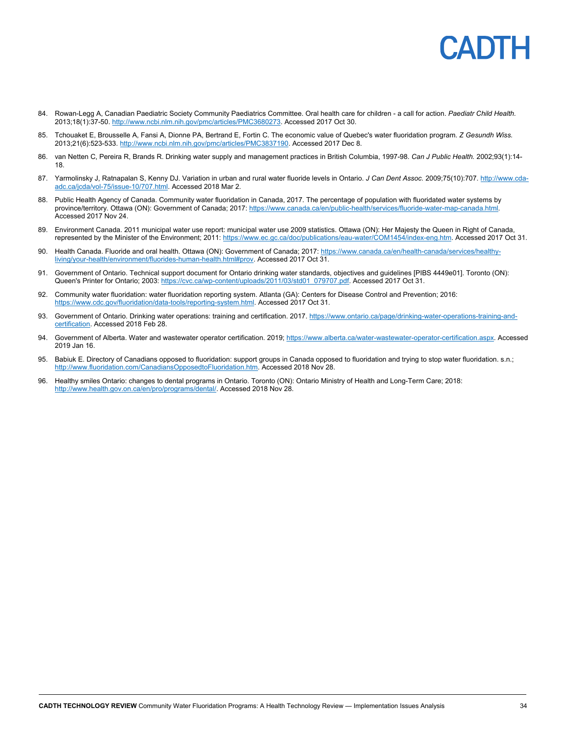## CADIH

- 84. Rowan-Legg A, Canadian Paediatric Society Community Paediatrics Committee. Oral health care for children a call for action. *Paediatr Child Health.*  2013;18(1):37-50. http://www.ncbi.nlm.nih.gov/pmc/articles/PMC3680273. Accessed 2017 Oct 30.
- 85. Tchouaket E, Brousselle A, Fansi A, Dionne PA, Bertrand E, Fortin C. The economic value of Quebec's water fluoridation program. *Z Gesundh Wiss.*  2013;21(6):523-533. http://www.ncbi.nlm.nih.gov/pmc/articles/PMC3837190. Accessed 2017 Dec 8.
- 86. van Netten C, Pereira R, Brands R. Drinking water supply and management practices in British Columbia, 1997-98. *Can J Public Health.* 2002;93(1):14- 18.
- 87. Yarmolinsky J, Ratnapalan S, Kenny DJ. Variation in urban and rural water fluoride levels in Ontario. *J Can Dent Assoc.* 2009;75(10):707. http://www.cdaadc.ca/jcda/vol-75/issue-10/707.html. Accessed 2018 Mar 2.
- 88. Public Health Agency of Canada. Community water fluoridation in Canada, 2017. The percentage of population with fluoridated water systems by province/territory. Ottawa (ON): Government of Canada; 2017: https://www.canada.ca/en/public-health/services/fluoride-water-map-canada.html. Accessed 2017 Nov 24.
- 89. Environment Canada. 2011 municipal water use report: municipal water use 2009 statistics. Ottawa (ON): Her Majesty the Queen in Right of Canada, represented by the Minister of the Environment; 2011: https://www.ec.gc.ca/doc/publications/eau-water/COM1454/index-eng.htm. Accessed 2017 Oct 31.
- 90. Health Canada. Fluoride and oral health. Ottawa (ON): Government of Canada; 2017: https://www.canada.ca/en/health-canada/services/healthyliving/your-health/environment/fluorides-human-health.html#prov. Accessed 2017 Oct 31.
- 91. Government of Ontario. Technical support document for Ontario drinking water standards, objectives and guidelines [PIBS 4449e01]. Toronto (ON): Queen's Printer for Ontario; 2003: https://cvc.ca/wp-content/uploads/2011/03/std01\_079707.pdf. Accessed 2017 Oct 31.
- 92. Community water fluoridation: water fluoridation reporting system. Atlanta (GA): Centers for Disease Control and Prevention; 2016: https://www.cdc.gov/fluoridation/data-tools/reporting-system.html. Accessed 2017 Oct 31.
- 93. Government of Ontario. Drinking water operations: training and certification. 2017. https://www.ontario.ca/page/drinking-water-operations-training-andcertification. Accessed 2018 Feb 28.
- 94. Government of Alberta. Water and wastewater operator certification. 2019; https://www.alberta.ca/water-wastewater-operator-certification.aspx. Accessed 2019 Jan 16.
- 95. Babiuk E. Directory of Canadians opposed to fluoridation: support groups in Canada opposed to fluoridation and trying to stop water fluoridation. s.n.; http://www.fluoridation.com/CanadiansOpposedtoFluoridation.htm. Accessed 2018 Nov 28.
- 96. Healthy smiles Ontario: changes to dental programs in Ontario. Toronto (ON): Ontario Ministry of Health and Long-Term Care; 2018: http://www.health.gov.on.ca/en/pro/programs/dental/. Accessed 2018 Nov 28.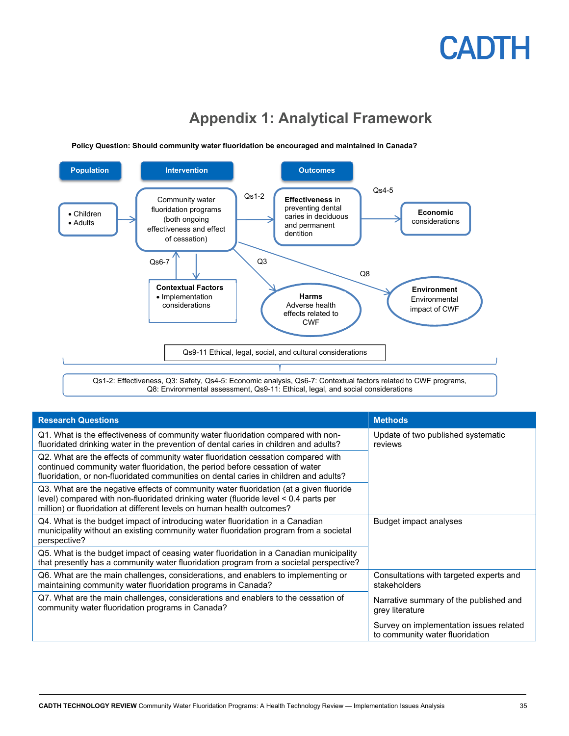### **Appendix 1: Analytical Framework**



**Policy Question: Should community water fluoridation be encouraged and maintained in Canada?**

| <b>Research Questions</b>                                                                                                                                                                                                                                 | <b>Methods</b>                                                             |  |
|-----------------------------------------------------------------------------------------------------------------------------------------------------------------------------------------------------------------------------------------------------------|----------------------------------------------------------------------------|--|
| Q1. What is the effectiveness of community water fluoridation compared with non-<br>fluoridated drinking water in the prevention of dental caries in children and adults?                                                                                 | Update of two published systematic<br>reviews                              |  |
| Q2. What are the effects of community water fluoridation cessation compared with<br>continued community water fluoridation, the period before cessation of water<br>fluoridation, or non-fluoridated communities on dental caries in children and adults? |                                                                            |  |
| Q3. What are the negative effects of community water fluoridation (at a given fluoride<br>level) compared with non-fluoridated drinking water (fluoride level < 0.4 parts per<br>million) or fluoridation at different levels on human health outcomes?   |                                                                            |  |
| Q4. What is the budget impact of introducing water fluoridation in a Canadian<br>municipality without an existing community water fluoridation program from a societal<br>perspective?                                                                    | Budget impact analyses                                                     |  |
| Q5. What is the budget impact of ceasing water fluoridation in a Canadian municipality<br>that presently has a community water fluoridation program from a societal perspective?                                                                          |                                                                            |  |
| Q6. What are the main challenges, considerations, and enablers to implementing or<br>maintaining community water fluoridation programs in Canada?                                                                                                         | Consultations with targeted experts and<br>stakeholders                    |  |
| Q7. What are the main challenges, considerations and enablers to the cessation of<br>community water fluoridation programs in Canada?                                                                                                                     | Narrative summary of the published and<br>grey literature                  |  |
|                                                                                                                                                                                                                                                           | Survey on implementation issues related<br>to community water fluoridation |  |